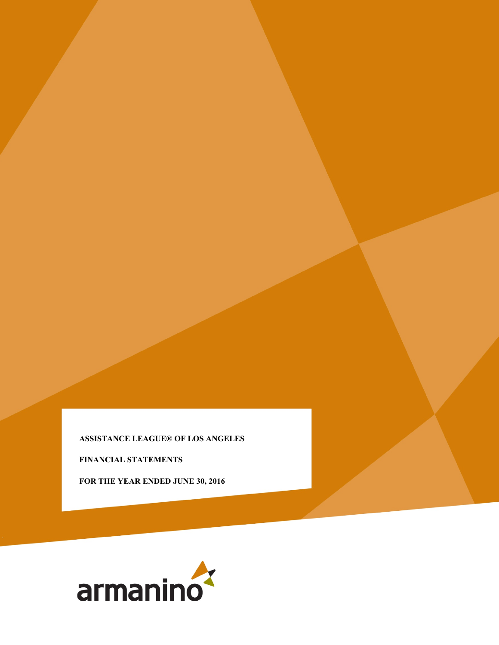**FINANCIAL STATEMENTS**

**FOR THE YEAR ENDED JUNE 30, 2016**

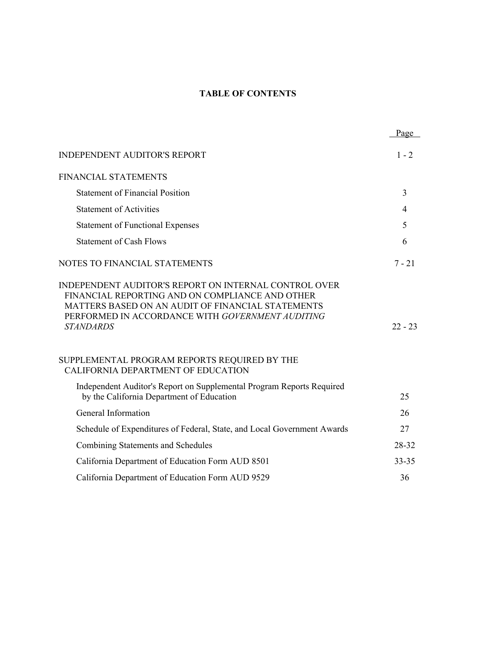## **TABLE OF CONTENTS**

|                                                                                                                                                                                                                                              | Page           |
|----------------------------------------------------------------------------------------------------------------------------------------------------------------------------------------------------------------------------------------------|----------------|
| <b>INDEPENDENT AUDITOR'S REPORT</b>                                                                                                                                                                                                          | $1 - 2$        |
| <b>FINANCIAL STATEMENTS</b>                                                                                                                                                                                                                  |                |
| <b>Statement of Financial Position</b>                                                                                                                                                                                                       | 3              |
| <b>Statement of Activities</b>                                                                                                                                                                                                               | $\overline{4}$ |
| <b>Statement of Functional Expenses</b>                                                                                                                                                                                                      | 5              |
| <b>Statement of Cash Flows</b>                                                                                                                                                                                                               | 6              |
| NOTES TO FINANCIAL STATEMENTS                                                                                                                                                                                                                | $7 - 21$       |
| <b>INDEPENDENT AUDITOR'S REPORT ON INTERNAL CONTROL OVER</b><br>FINANCIAL REPORTING AND ON COMPLIANCE AND OTHER<br>MATTERS BASED ON AN AUDIT OF FINANCIAL STATEMENTS<br>PERFORMED IN ACCORDANCE WITH GOVERNMENT AUDITING<br><b>STANDARDS</b> | $22 - 23$      |
| SUPPLEMENTAL PROGRAM REPORTS REQUIRED BY THE<br>CALIFORNIA DEPARTMENT OF EDUCATION                                                                                                                                                           |                |
| Independent Auditor's Report on Supplemental Program Reports Required<br>by the California Department of Education                                                                                                                           | 25             |
| General Information                                                                                                                                                                                                                          | 26             |
| Schedule of Expenditures of Federal, State, and Local Government Awards                                                                                                                                                                      | 27             |
| <b>Combining Statements and Schedules</b>                                                                                                                                                                                                    | 28-32          |
| California Department of Education Form AUD 8501                                                                                                                                                                                             | 33-35          |
| California Department of Education Form AUD 9529                                                                                                                                                                                             | 36             |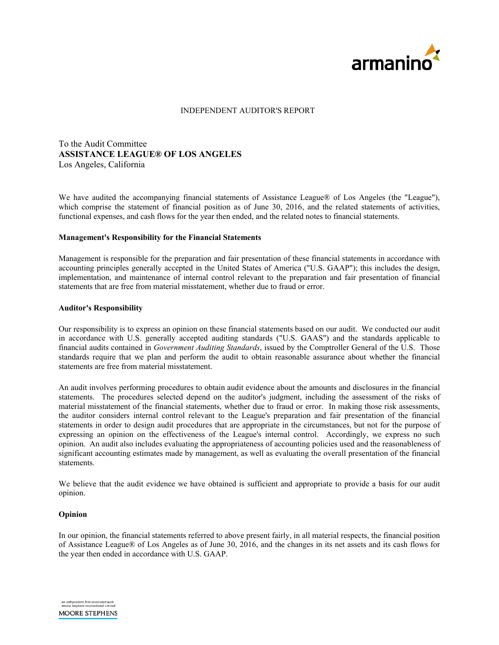

#### INDEPENDENT AUDITOR'S REPORT

To the Audit Committee **ASSISTANCE LEAGUE® OF LOS ANGELES** Los Angeles, California

We have audited the accompanying financial statements of Assistance League® of Los Angeles (the "League"), which comprise the statement of financial position as of June 30, 2016, and the related statements of activities, functional expenses, and cash flows for the year then ended, and the related notes to financial statements.

#### **Management's Responsibility for the Financial Statements**

Management is responsible for the preparation and fair presentation of these financial statements in accordance with accounting principles generally accepted in the United States of America ("U.S. GAAP"); this includes the design, implementation, and maintenance of internal control relevant to the preparation and fair presentation of financial statements that are free from material misstatement, whether due to fraud or error.

#### **Auditor's Responsibility**

Our responsibility is to express an opinion on these financial statements based on our audit. We conducted our audit in accordance with U.S. generally accepted auditing standards ("U.S. GAAS") and the standards applicable to financial audits contained in *Government Auditing Standards*, issued by the Comptroller General of the U.S. Those standards require that we plan and perform the audit to obtain reasonable assurance about whether the financial statements are free from material misstatement.

An audit involves performing procedures to obtain audit evidence about the amounts and disclosures in the financial statements. The procedures selected depend on the auditor's judgment, including the assessment of the risks of material misstatement of the financial statements, whether due to fraud or error. In making those risk assessments, the auditor considers internal control relevant to the League's preparation and fair presentation of the financial statements in order to design audit procedures that are appropriate in the circumstances, but not for the purpose of expressing an opinion on the effectiveness of the League's internal control. Accordingly, we express no such opinion. An audit also includes evaluating the appropriateness of accounting policies used and the reasonableness of significant accounting estimates made by management, as well as evaluating the overall presentation of the financial statements.

We believe that the audit evidence we have obtained is sufficient and appropriate to provide a basis for our audit opinion.

#### **Opinion**

In our opinion, the financial statements referred to above present fairly, in all material respects, the financial position of Assistance League® of Los Angeles as of June 30, 2016, and the changes in its net assets and its cash flows for the year then ended in accordance with U.S. GAAP.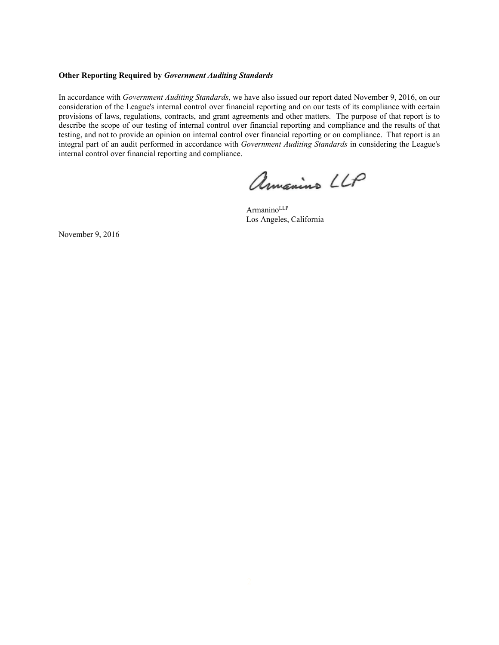#### **Other Reporting Required by** *Government Auditing Standards*

In accordance with *Government Auditing Standards*, we have also issued our report dated November 9, 2016, on our consideration of the League's internal control over financial reporting and on our tests of its compliance with certain provisions of laws, regulations, contracts, and grant agreements and other matters. The purpose of that report is to describe the scope of our testing of internal control over financial reporting and compliance and the results of that testing, and not to provide an opinion on internal control over financial reporting or on compliance. That report is an integral part of an audit performed in accordance with *Government Auditing Standards* in considering the League's internal control over financial reporting and compliance.

armanino LLP

ArmaninoLLP Los Angeles, California

November 9, 2016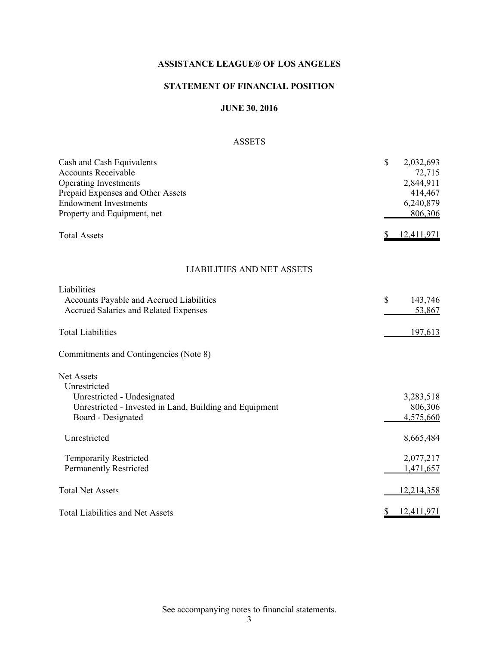# **STATEMENT OF FINANCIAL POSITION**

# **JUNE 30, 2016**

# ASSETS

| Cash and Cash Equivalents                               | \$<br>2,032,693 |
|---------------------------------------------------------|-----------------|
| <b>Accounts Receivable</b>                              | 72,715          |
| <b>Operating Investments</b>                            | 2,844,911       |
| Prepaid Expenses and Other Assets                       | 414,467         |
| <b>Endowment Investments</b>                            | 6,240,879       |
| Property and Equipment, net                             | 806,306         |
| <b>Total Assets</b>                                     | 12,411,971      |
| <b>LIABILITIES AND NET ASSETS</b>                       |                 |
| Liabilities                                             |                 |
| Accounts Payable and Accrued Liabilities                | \$<br>143,746   |
| Accrued Salaries and Related Expenses                   | 53,867          |
| <b>Total Liabilities</b>                                | 197,613         |
| Commitments and Contingencies (Note 8)                  |                 |
| <b>Net Assets</b>                                       |                 |
| Unrestricted                                            |                 |
| Unrestricted - Undesignated                             | 3,283,518       |
| Unrestricted - Invested in Land, Building and Equipment | 806,306         |
| Board - Designated                                      | 4,575,660       |
| Unrestricted                                            | 8,665,484       |
| <b>Temporarily Restricted</b>                           | 2,077,217       |
| <b>Permanently Restricted</b>                           | 1,471,657       |
| <b>Total Net Assets</b>                                 | 12,214,358      |
| <b>Total Liabilities and Net Assets</b>                 | 12,411,971      |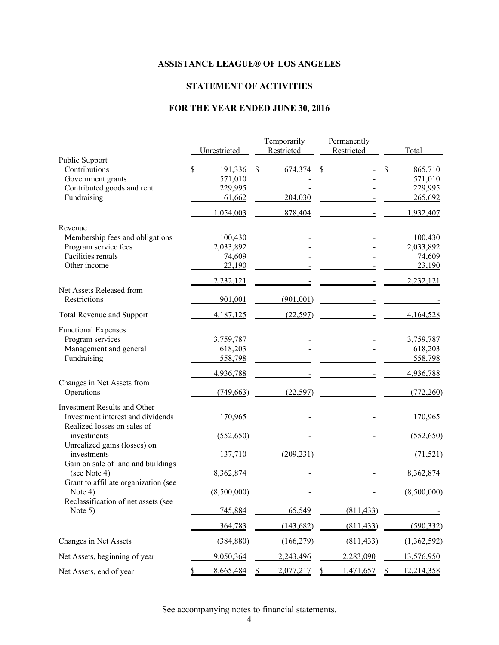# **STATEMENT OF ACTIVITIES**

# **FOR THE YEAR ENDED JUNE 30, 2016**

|                                                    | Unrestricted  | Temporarily<br>Restricted | Permanently<br>Restricted | Total         |
|----------------------------------------------------|---------------|---------------------------|---------------------------|---------------|
| Public Support                                     |               |                           |                           |               |
| Contributions                                      | \$<br>191,336 | \$<br>674,374             | \$                        | \$<br>865,710 |
| Government grants                                  | 571,010       |                           |                           | 571,010       |
| Contributed goods and rent                         | 229,995       |                           |                           | 229,995       |
| Fundraising                                        | 61,662        | 204,030                   |                           | 265,692       |
|                                                    | 1,054,003     | 878,404                   |                           | 1,932,407     |
| Revenue                                            |               |                           |                           |               |
| Membership fees and obligations                    | 100,430       |                           |                           | 100,430       |
| Program service fees                               | 2,033,892     |                           |                           | 2,033,892     |
| <b>Facilities rentals</b>                          | 74,609        |                           |                           | 74,609        |
| Other income                                       | 23,190        |                           |                           | 23,190        |
|                                                    | 2,232,121     |                           |                           | 2,232,121     |
| Net Assets Released from<br>Restrictions           | 901,001       | (901, 001)                |                           |               |
| <b>Total Revenue and Support</b>                   | 4,187,125     | (22, 597)                 |                           | 4,164,528     |
| <b>Functional Expenses</b>                         |               |                           |                           |               |
| Program services                                   | 3,759,787     |                           |                           | 3,759,787     |
| Management and general                             | 618,203       |                           |                           | 618,203       |
| Fundraising                                        | 558,798       |                           |                           | 558,798       |
|                                                    | 4,936,788     |                           |                           | 4,936,788     |
| Changes in Net Assets from<br>Operations           | (749, 663)    | (22, 597)                 |                           | (772, 260)    |
| <b>Investment Results and Other</b>                |               |                           |                           |               |
| Investment interest and dividends                  | 170,965       |                           |                           | 170,965       |
| Realized losses on sales of<br>investments         | (552, 650)    |                           |                           | (552, 650)    |
| Unrealized gains (losses) on                       |               |                           |                           |               |
| investments                                        | 137,710       | (209, 231)                |                           | (71, 521)     |
| Gain on sale of land and buildings<br>(see Note 4) | 8,362,874     |                           |                           | 8,362,874     |
| Grant to affiliate organization (see               |               |                           |                           |               |
| Note 4)                                            | (8,500,000)   |                           |                           | (8,500,000)   |
| Reclassification of net assets (see                |               |                           |                           |               |
| Note 5)                                            | 745,884       | 65,549                    | (811, 433)                |               |
|                                                    | 364,783       | (143, 682)                | (811, 433)                | (590, 332)    |
| Changes in Net Assets                              | (384, 880)    | (166, 279)                | (811, 433)                | (1,362,592)   |
| Net Assets, beginning of year                      | 9,050,364     | 2,243,496                 | 2,283,090                 | 13,576,950    |
| Net Assets, end of year                            | 8,665,484     | 2,077,217                 | <u>1,471,657</u><br>S.    | 12,214,358    |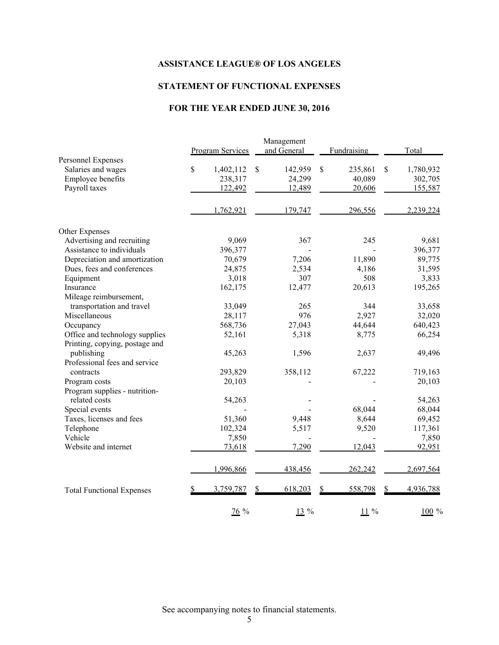# **STATEMENT OF FUNCTIONAL EXPENSES**

## **FOR THE YEAR ENDED JUNE 30, 2016**

|                                          | <b>Program Services</b> | Management<br>and General | Fundraising                                    | Total              |
|------------------------------------------|-------------------------|---------------------------|------------------------------------------------|--------------------|
| Personnel Expenses<br>Salaries and wages | \$<br>1,402,112         | \$<br>142,959<br>24,299   | $\boldsymbol{\mathsf{S}}$<br>235,861<br>40,089 | \$<br>1,780,932    |
| Employee benefits<br>Payroll taxes       | 238,317<br>122,492      | 12,489                    | 20,606                                         | 302,705<br>155,587 |
|                                          | 1,762,921               | 179,747                   | 296,556                                        | 2,239,224          |
| Other Expenses                           |                         |                           |                                                |                    |
| Advertising and recruiting               | 9,069                   | 367                       | 245                                            | 9,681              |
| Assistance to individuals                | 396,377                 |                           |                                                | 396,377            |
| Depreciation and amortization            | 70,679                  | 7,206                     | 11,890                                         | 89,775             |
| Dues, fees and conferences               | 24,875                  | 2,534                     | 4,186                                          | 31,595             |
| Equipment                                | 3,018                   | 307                       | 508                                            | 3,833              |
| Insurance                                | 162,175                 | 12,477                    | 20,613                                         | 195,265            |
| Mileage reimbursement,                   |                         |                           |                                                |                    |
| transportation and travel                | 33,049                  | 265                       | 344                                            | 33,658             |
| Miscellaneous                            | 28,117                  | 976                       | 2,927                                          | 32,020             |
| Occupancy                                | 568,736                 | 27,043                    | 44,644                                         | 640,423            |
| Office and technology supplies           | 52,161                  | 5,318                     | 8,775                                          | 66,254             |
| Printing, copying, postage and           |                         |                           |                                                |                    |
| publishing                               | 45,263                  | 1,596                     | 2,637                                          | 49,496             |
| Professional fees and service            |                         |                           |                                                |                    |
| contracts                                | 293,829                 | 358,112                   | 67,222                                         | 719,163            |
| Program costs                            | 20,103                  |                           |                                                | 20,103             |
| Program supplies - nutrition-            |                         |                           |                                                |                    |
| related costs                            | 54,263                  |                           |                                                | 54,263             |
| Special events                           |                         |                           | 68,044                                         | 68,044             |
| Taxes, licenses and fees                 | 51,360                  | 9,448                     | 8,644                                          | 69,452             |
| Telephone                                | 102,324                 | 5,517                     | 9,520                                          | 117,361            |
| Vehicle                                  | 7,850                   |                           |                                                | 7,850              |
| Website and internet                     | 73,618                  | 7,290                     | 12,043                                         | 92,951             |
|                                          | 1,996,866               | 438,456                   | 262,242                                        | 2,697,564          |
| <b>Total Functional Expenses</b>         | 3,759,787<br>\$         | 618,203                   | 558,798<br>\$                                  | 4,936,788          |
|                                          | 76%                     | 13 %                      | $11\%$                                         | 100 %              |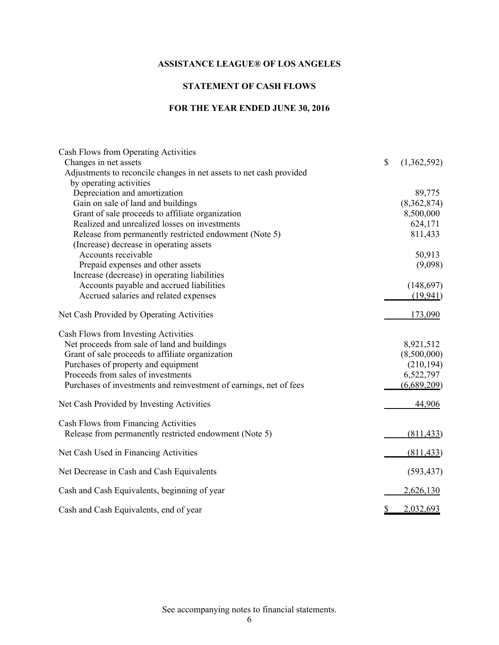# **STATEMENT OF CASH FLOWS**

## **FOR THE YEAR ENDED JUNE 30, 2016**

| Cash Flows from Operating Activities                                |     |             |
|---------------------------------------------------------------------|-----|-------------|
| Changes in net assets                                               | \$  | (1,362,592) |
| Adjustments to reconcile changes in net assets to net cash provided |     |             |
| by operating activities                                             |     |             |
| Depreciation and amortization                                       |     | 89,775      |
| Gain on sale of land and buildings                                  |     | (8,362,874) |
| Grant of sale proceeds to affiliate organization                    |     | 8,500,000   |
| Realized and unrealized losses on investments                       |     | 624,171     |
| Release from permanently restricted endowment (Note 5)              |     | 811,433     |
| (Increase) decrease in operating assets                             |     |             |
| Accounts receivable                                                 |     | 50,913      |
| Prepaid expenses and other assets                                   |     | (9,098)     |
| Increase (decrease) in operating liabilities                        |     |             |
| Accounts payable and accrued liabilities                            |     | (148, 697)  |
| Accrued salaries and related expenses                               |     | (19, 941)   |
| Net Cash Provided by Operating Activities                           |     | 173,090     |
| Cash Flows from Investing Activities                                |     |             |
| Net proceeds from sale of land and buildings                        |     | 8,921,512   |
| Grant of sale proceeds to affiliate organization                    |     | (8,500,000) |
| Purchases of property and equipment                                 |     | (210, 194)  |
| Proceeds from sales of investments                                  |     | 6,522,797   |
| Purchases of investments and reinvestment of earnings, net of fees  |     | (6,689,209) |
| Net Cash Provided by Investing Activities                           |     | 44,906      |
| Cash Flows from Financing Activities                                |     |             |
| Release from permanently restricted endowment (Note 5)              |     | (811, 433)  |
| Net Cash Used in Financing Activities                               |     | (811, 433)  |
| Net Decrease in Cash and Cash Equivalents                           |     | (593, 437)  |
|                                                                     |     |             |
| Cash and Cash Equivalents, beginning of year                        |     | 2,626,130   |
| Cash and Cash Equivalents, end of year                              | \$_ | 2,032,693   |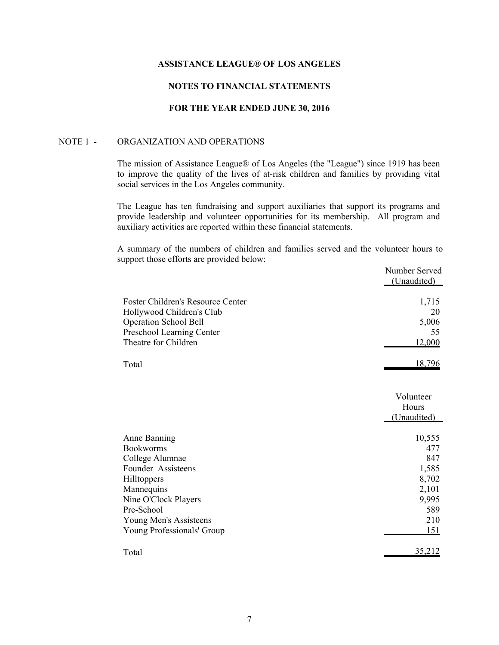## **NOTES TO FINANCIAL STATEMENTS**

## **FOR THE YEAR ENDED JUNE 30, 2016**

## NOTE 1 - ORGANIZATION AND OPERATIONS

The mission of Assistance League® of Los Angeles (the "League") since 1919 has been to improve the quality of the lives of at-risk children and families by providing vital social services in the Los Angeles community.

The League has ten fundraising and support auxiliaries that support its programs and provide leadership and volunteer opportunities for its membership. All program and auxiliary activities are reported within these financial statements.

A summary of the numbers of children and families served and the volunteer hours to support those efforts are provided below:

| (Unaudited)   |
|---------------|
| 1,715         |
| 20            |
| 5,006         |
| 55            |
| 12,000        |
| 18,796        |
|               |
|               |
| Volunteer     |
| Hours         |
| (Unaudited)   |
| 10,555        |
| 477           |
| 847           |
| 1,585         |
| 8,702         |
| 2,101         |
| 9,995         |
| 589           |
| 210           |
| 151           |
| <u>35,212</u> |
|               |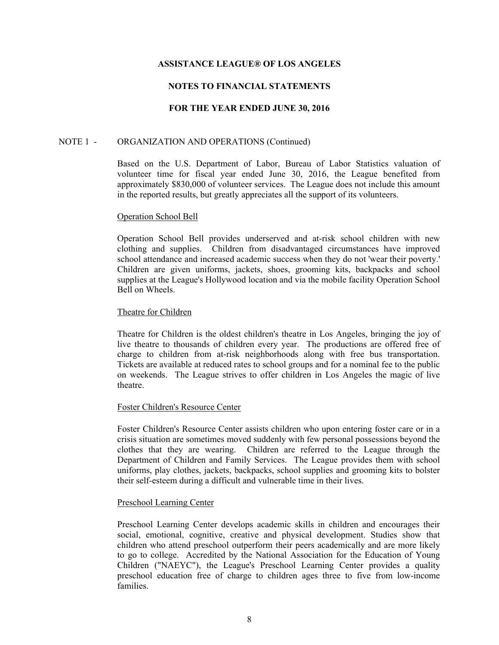## **NOTES TO FINANCIAL STATEMENTS**

## **FOR THE YEAR ENDED JUNE 30, 2016**

### NOTE 1 - ORGANIZATION AND OPERATIONS (Continued)

Based on the U.S. Department of Labor, Bureau of Labor Statistics valuation of volunteer time for fiscal year ended June 30, 2016, the League benefited from approximately \$830,000 of volunteer services. The League does not include this amount in the reported results, but greatly appreciates all the support of its volunteers.

#### Operation School Bell

Operation School Bell provides underserved and at-risk school children with new clothing and supplies. Children from disadvantaged circumstances have improved school attendance and increased academic success when they do not 'wear their poverty.' Children are given uniforms, jackets, shoes, grooming kits, backpacks and school supplies at the League's Hollywood location and via the mobile facility Operation School Bell on Wheels.

### Theatre for Children

Theatre for Children is the oldest children's theatre in Los Angeles, bringing the joy of live theatre to thousands of children every year. The productions are offered free of charge to children from at-risk neighborhoods along with free bus transportation. Tickets are available at reduced rates to school groups and for a nominal fee to the public on weekends. The League strives to offer children in Los Angeles the magic of live theatre.

### Foster Children's Resource Center

Foster Children's Resource Center assists children who upon entering foster care or in a crisis situation are sometimes moved suddenly with few personal possessions beyond the clothes that they are wearing. Children are referred to the League through the Department of Children and Family Services. The League provides them with school uniforms, play clothes, jackets, backpacks, school supplies and grooming kits to bolster their self-esteem during a difficult and vulnerable time in their lives.

### Preschool Learning Center

Preschool Learning Center develops academic skills in children and encourages their social, emotional, cognitive, creative and physical development. Studies show that children who attend preschool outperform their peers academically and are more likely to go to college. Accredited by the National Association for the Education of Young Children ("NAEYC"), the League's Preschool Learning Center provides a quality preschool education free of charge to children ages three to five from low-income families.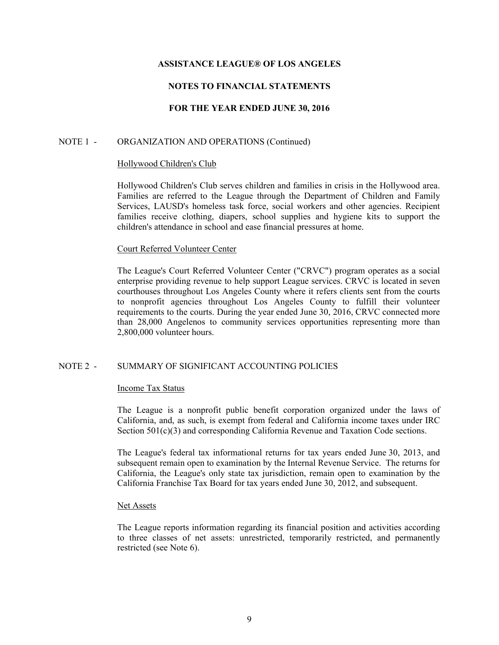## **NOTES TO FINANCIAL STATEMENTS**

## **FOR THE YEAR ENDED JUNE 30, 2016**

## NOTE 1 - ORGANIZATION AND OPERATIONS (Continued)

#### Hollywood Children's Club

Hollywood Children's Club serves children and families in crisis in the Hollywood area. Families are referred to the League through the Department of Children and Family Services, LAUSD's homeless task force, social workers and other agencies. Recipient families receive clothing, diapers, school supplies and hygiene kits to support the children's attendance in school and ease financial pressures at home.

#### Court Referred Volunteer Center

The League's Court Referred Volunteer Center ("CRVC") program operates as a social enterprise providing revenue to help support League services. CRVC is located in seven courthouses throughout Los Angeles County where it refers clients sent from the courts to nonprofit agencies throughout Los Angeles County to fulfill their volunteer requirements to the courts. During the year ended June 30, 2016, CRVC connected more than 28,000 Angelenos to community services opportunities representing more than 2,800,000 volunteer hours.

### NOTE 2 - SUMMARY OF SIGNIFICANT ACCOUNTING POLICIES

### Income Tax Status

The League is a nonprofit public benefit corporation organized under the laws of California, and, as such, is exempt from federal and California income taxes under IRC Section  $501(c)(3)$  and corresponding California Revenue and Taxation Code sections.

The League's federal tax informational returns for tax years ended June 30, 2013, and subsequent remain open to examination by the Internal Revenue Service. The returns for California, the League's only state tax jurisdiction, remain open to examination by the California Franchise Tax Board for tax years ended June 30, 2012, and subsequent.

#### Net Assets

The League reports information regarding its financial position and activities according to three classes of net assets: unrestricted, temporarily restricted, and permanently restricted (see Note 6).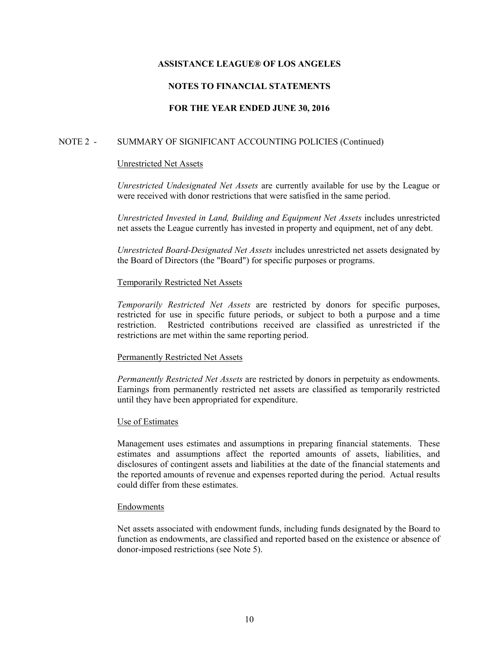## **NOTES TO FINANCIAL STATEMENTS**

## **FOR THE YEAR ENDED JUNE 30, 2016**

## NOTE 2 - SUMMARY OF SIGNIFICANT ACCOUNTING POLICIES (Continued)

## Unrestricted Net Assets

*Unrestricted Undesignated Net Assets* are currently available for use by the League or were received with donor restrictions that were satisfied in the same period.

*Unrestricted Invested in Land, Building and Equipment Net Assets* includes unrestricted net assets the League currently has invested in property and equipment, net of any debt.

*Unrestricted Board-Designated Net Assets* includes unrestricted net assets designated by the Board of Directors (the "Board") for specific purposes or programs.

## Temporarily Restricted Net Assets

*Temporarily Restricted Net Assets* are restricted by donors for specific purposes, restricted for use in specific future periods, or subject to both a purpose and a time restriction. Restricted contributions received are classified as unrestricted if the restrictions are met within the same reporting period.

### Permanently Restricted Net Assets

*Permanently Restricted Net Assets* are restricted by donors in perpetuity as endowments. Earnings from permanently restricted net assets are classified as temporarily restricted until they have been appropriated for expenditure.

## Use of Estimates

Management uses estimates and assumptions in preparing financial statements. These estimates and assumptions affect the reported amounts of assets, liabilities, and disclosures of contingent assets and liabilities at the date of the financial statements and the reported amounts of revenue and expenses reported during the period. Actual results could differ from these estimates.

### Endowments

Net assets associated with endowment funds, including funds designated by the Board to function as endowments, are classified and reported based on the existence or absence of donor-imposed restrictions (see Note 5).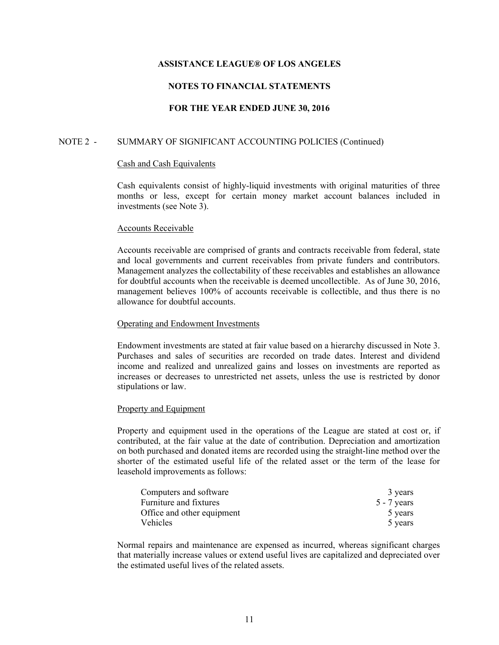## **NOTES TO FINANCIAL STATEMENTS**

## **FOR THE YEAR ENDED JUNE 30, 2016**

### NOTE 2 - SUMMARY OF SIGNIFICANT ACCOUNTING POLICIES (Continued)

#### Cash and Cash Equivalents

Cash equivalents consist of highly-liquid investments with original maturities of three months or less, except for certain money market account balances included in investments (see Note 3).

### Accounts Receivable

Accounts receivable are comprised of grants and contracts receivable from federal, state and local governments and current receivables from private funders and contributors. Management analyzes the collectability of these receivables and establishes an allowance for doubtful accounts when the receivable is deemed uncollectible. As of June 30, 2016, management believes 100% of accounts receivable is collectible, and thus there is no allowance for doubtful accounts.

### Operating and Endowment Investments

Endowment investments are stated at fair value based on a hierarchy discussed in Note 3. Purchases and sales of securities are recorded on trade dates. Interest and dividend income and realized and unrealized gains and losses on investments are reported as increases or decreases to unrestricted net assets, unless the use is restricted by donor stipulations or law.

### Property and Equipment

Property and equipment used in the operations of the League are stated at cost or, if contributed, at the fair value at the date of contribution. Depreciation and amortization on both purchased and donated items are recorded using the straight-line method over the shorter of the estimated useful life of the related asset or the term of the lease for leasehold improvements as follows:

| Computers and software     | 3 years       |
|----------------------------|---------------|
| Furniture and fixtures     | $5 - 7$ years |
| Office and other equipment | 5 years       |
| <b>Vehicles</b>            | 5 years       |

Normal repairs and maintenance are expensed as incurred, whereas significant charges that materially increase values or extend useful lives are capitalized and depreciated over the estimated useful lives of the related assets.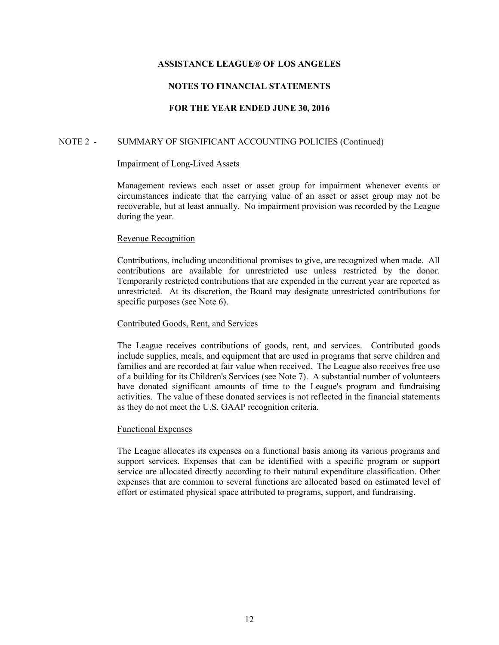## **NOTES TO FINANCIAL STATEMENTS**

## **FOR THE YEAR ENDED JUNE 30, 2016**

## NOTE 2 - SUMMARY OF SIGNIFICANT ACCOUNTING POLICIES (Continued)

#### Impairment of Long-Lived Assets

Management reviews each asset or asset group for impairment whenever events or circumstances indicate that the carrying value of an asset or asset group may not be recoverable, but at least annually. No impairment provision was recorded by the League during the year.

### Revenue Recognition

Contributions, including unconditional promises to give, are recognized when made. All contributions are available for unrestricted use unless restricted by the donor. Temporarily restricted contributions that are expended in the current year are reported as unrestricted. At its discretion, the Board may designate unrestricted contributions for specific purposes (see Note 6).

## Contributed Goods, Rent, and Services

The League receives contributions of goods, rent, and services. Contributed goods include supplies, meals, and equipment that are used in programs that serve children and families and are recorded at fair value when received. The League also receives free use of a building for its Children's Services (see Note 7). A substantial number of volunteers have donated significant amounts of time to the League's program and fundraising activities. The value of these donated services is not reflected in the financial statements as they do not meet the U.S. GAAP recognition criteria.

### Functional Expenses

The League allocates its expenses on a functional basis among its various programs and support services. Expenses that can be identified with a specific program or support service are allocated directly according to their natural expenditure classification. Other expenses that are common to several functions are allocated based on estimated level of effort or estimated physical space attributed to programs, support, and fundraising.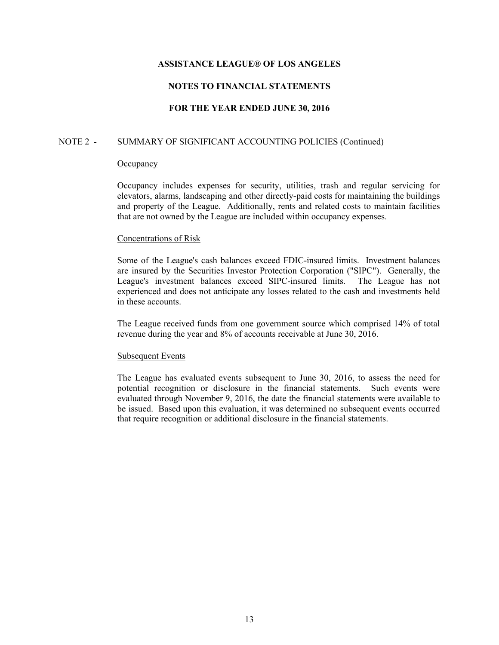## **NOTES TO FINANCIAL STATEMENTS**

## **FOR THE YEAR ENDED JUNE 30, 2016**

## NOTE 2 - SUMMARY OF SIGNIFICANT ACCOUNTING POLICIES (Continued)

#### **Occupancy**

Occupancy includes expenses for security, utilities, trash and regular servicing for elevators, alarms, landscaping and other directly-paid costs for maintaining the buildings and property of the League. Additionally, rents and related costs to maintain facilities that are not owned by the League are included within occupancy expenses.

### Concentrations of Risk

Some of the League's cash balances exceed FDIC-insured limits. Investment balances are insured by the Securities Investor Protection Corporation ("SIPC"). Generally, the League's investment balances exceed SIPC-insured limits. The League has not experienced and does not anticipate any losses related to the cash and investments held in these accounts.

The League received funds from one government source which comprised 14% of total revenue during the year and 8% of accounts receivable at June 30, 2016.

#### Subsequent Events

The League has evaluated events subsequent to June 30, 2016, to assess the need for potential recognition or disclosure in the financial statements. Such events were evaluated through November 9, 2016, the date the financial statements were available to be issued. Based upon this evaluation, it was determined no subsequent events occurred that require recognition or additional disclosure in the financial statements.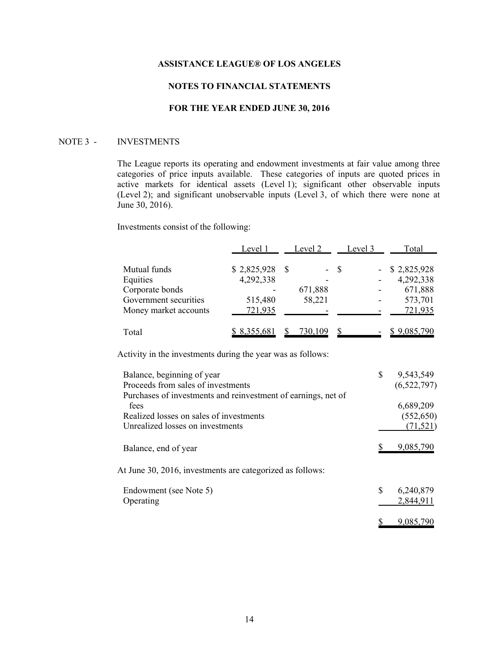## **NOTES TO FINANCIAL STATEMENTS**

## **FOR THE YEAR ENDED JUNE 30, 2016**

### NOTE 3 - INVESTMENTS

The League reports its operating and endowment investments at fair value among three categories of price inputs available. These categories of inputs are quoted prices in active markets for identical assets (Level 1); significant other observable inputs (Level 2); and significant unobservable inputs (Level 3, of which there were none at June 30, 2016).

Investments consist of the following:

|                       | Level 2<br>Level 1 |                | Level 3 | Total              |  |
|-----------------------|--------------------|----------------|---------|--------------------|--|
|                       |                    |                |         |                    |  |
| Mutual funds          | \$2,825,928        |                | - \$    | \$2,825,928        |  |
| Equities              | 4,292,338          |                |         | 4,292,338          |  |
| Corporate bonds       |                    | 671,888        |         | 671,888            |  |
| Government securities | 515,480            | 58,221         |         | 573,701            |  |
| Money market accounts | 721,935            |                |         | 721,935            |  |
|                       |                    |                |         |                    |  |
| Total                 | <u>\$8,355,681</u> | <u>730,109</u> |         | <u>\$9,085,790</u> |  |

Activity in the investments during the year was as follows:

| Balance, beginning of year<br>Proceeds from sales of investments                                                                                     | \$<br>9,543,549<br>(6,522,797)       |
|------------------------------------------------------------------------------------------------------------------------------------------------------|--------------------------------------|
| Purchases of investments and reinvestment of earnings, net of<br>fees<br>Realized losses on sales of investments<br>Unrealized losses on investments | 6,689,209<br>(552, 650)<br>(71, 521) |
| Balance, end of year                                                                                                                                 | 9,085,790                            |
| At June 30, 2016, investments are categorized as follows:                                                                                            |                                      |
| Endowment (see Note 5)<br>Operating                                                                                                                  | \$<br>6,240,879<br>2,844,911         |
|                                                                                                                                                      | 9.085.790                            |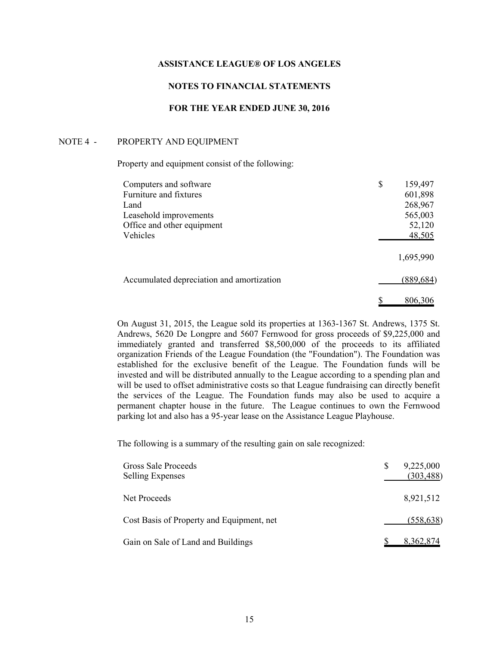## **NOTES TO FINANCIAL STATEMENTS**

## **FOR THE YEAR ENDED JUNE 30, 2016**

#### NOTE 4 - PROPERTY AND EQUIPMENT

Property and equipment consist of the following:

| Computers and software                    | \$<br>159,497 |
|-------------------------------------------|---------------|
| Furniture and fixtures                    | 601,898       |
| Land                                      | 268,967       |
| Leasehold improvements                    | 565,003       |
| Office and other equipment                | 52,120        |
| Vehicles                                  | 48,505        |
|                                           | 1,695,990     |
| Accumulated depreciation and amortization | (889, 684)    |
|                                           | 806,306       |

On August 31, 2015, the League sold its properties at 1363-1367 St. Andrews, 1375 St. Andrews, 5620 De Longpre and 5607 Fernwood for gross proceeds of \$9,225,000 and immediately granted and transferred \$8,500,000 of the proceeds to its affiliated organization Friends of the League Foundation (the "Foundation"). The Foundation was established for the exclusive benefit of the League. The Foundation funds will be invested and will be distributed annually to the League according to a spending plan and will be used to offset administrative costs so that League fundraising can directly benefit the services of the League. The Foundation funds may also be used to acquire a permanent chapter house in the future. The League continues to own the Fernwood parking lot and also has a 95-year lease on the Assistance League Playhouse.

The following is a summary of the resulting gain on sale recognized:

| Gross Sale Proceeds<br><b>Selling Expenses</b> | 9,225,000<br>(303, 488) |
|------------------------------------------------|-------------------------|
| Net Proceeds                                   | 8,921,512               |
| Cost Basis of Property and Equipment, net      | (558, 638)              |
| Gain on Sale of Land and Buildings             | 8,362,874               |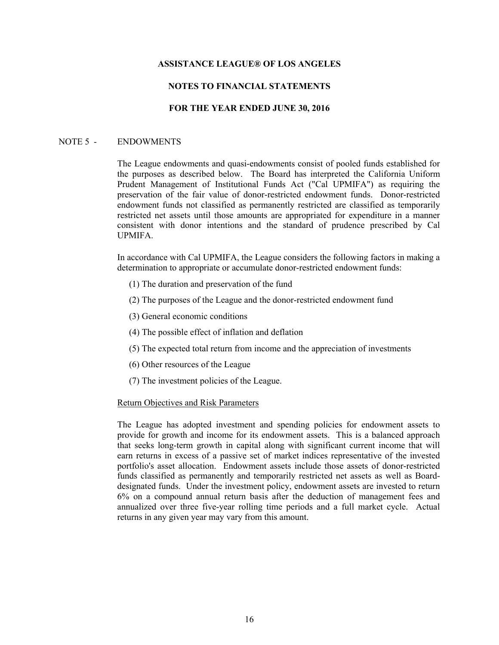## **NOTES TO FINANCIAL STATEMENTS**

## **FOR THE YEAR ENDED JUNE 30, 2016**

#### NOTE 5 - ENDOWMENTS

The League endowments and quasi-endowments consist of pooled funds established for the purposes as described below. The Board has interpreted the California Uniform Prudent Management of Institutional Funds Act ("Cal UPMIFA") as requiring the preservation of the fair value of donor-restricted endowment funds. Donor-restricted endowment funds not classified as permanently restricted are classified as temporarily restricted net assets until those amounts are appropriated for expenditure in a manner consistent with donor intentions and the standard of prudence prescribed by Cal UPMIFA.

In accordance with Cal UPMIFA, the League considers the following factors in making a determination to appropriate or accumulate donor-restricted endowment funds:

- (1) The duration and preservation of the fund
- (2) The purposes of the League and the donor-restricted endowment fund
- (3) General economic conditions
- (4) The possible effect of inflation and deflation
- (5) The expected total return from income and the appreciation of investments
- (6) Other resources of the League
- (7) The investment policies of the League.

## Return Objectives and Risk Parameters

The League has adopted investment and spending policies for endowment assets to provide for growth and income for its endowment assets. This is a balanced approach that seeks long-term growth in capital along with significant current income that will earn returns in excess of a passive set of market indices representative of the invested portfolio's asset allocation. Endowment assets include those assets of donor-restricted funds classified as permanently and temporarily restricted net assets as well as Boarddesignated funds. Under the investment policy, endowment assets are invested to return 6% on a compound annual return basis after the deduction of management fees and annualized over three five-year rolling time periods and a full market cycle. Actual returns in any given year may vary from this amount.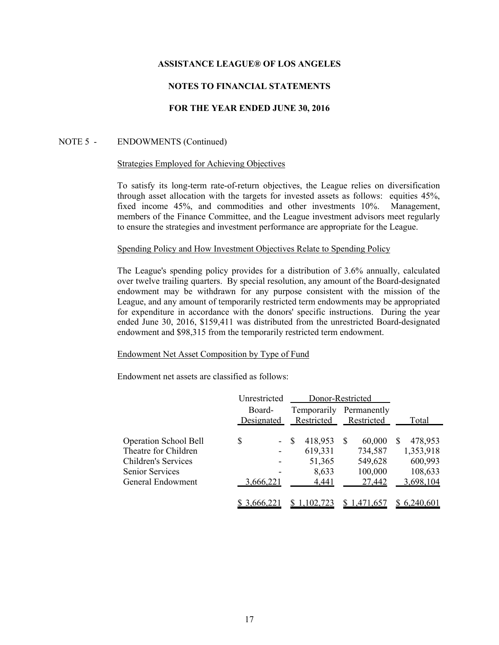## **NOTES TO FINANCIAL STATEMENTS**

## **FOR THE YEAR ENDED JUNE 30, 2016**

### NOTE 5 - ENDOWMENTS (Continued)

#### Strategies Employed for Achieving Objectives

To satisfy its long-term rate-of-return objectives, the League relies on diversification through asset allocation with the targets for invested assets as follows: equities 45%, fixed income 45%, and commodities and other investments 10%. Management, members of the Finance Committee, and the League investment advisors meet regularly to ensure the strategies and investment performance are appropriate for the League.

### Spending Policy and How Investment Objectives Relate to Spending Policy

The League's spending policy provides for a distribution of 3.6% annually, calculated over twelve trailing quarters. By special resolution, any amount of the Board-designated endowment may be withdrawn for any purpose consistent with the mission of the League, and any amount of temporarily restricted term endowments may be appropriated for expenditure in accordance with the donors' specific instructions. During the year ended June 30, 2016, \$159,411 was distributed from the unrestricted Board-designated endowment and \$98,315 from the temporarily restricted term endowment.

#### Endowment Net Asset Composition by Type of Fund

Endowment net assets are classified as follows:

|                                                                                                                                   | Unrestricted         |        |  | Donor-Restricted                               |               |                                                   |   |                                                         |
|-----------------------------------------------------------------------------------------------------------------------------------|----------------------|--------|--|------------------------------------------------|---------------|---------------------------------------------------|---|---------------------------------------------------------|
|                                                                                                                                   | Board-<br>Designated |        |  | Temporarily<br>Restricted                      |               | Permanently<br>Restricted                         |   | Total                                                   |
| <b>Operation School Bell</b><br>Theatre for Children<br><b>Children's Services</b><br><b>Senior Services</b><br>General Endowment | \$<br>3,666,221      | $-$ \$ |  | 418,953<br>619,331<br>51,365<br>8,633<br>4,441 | <sup>\$</sup> | 60,000<br>734,587<br>549,628<br>100,000<br>27,442 | S | 478,953<br>1,353,918<br>600,993<br>108,633<br>3,698,104 |
|                                                                                                                                   | \$3,666,221          |        |  | 1,102,723                                      |               | \$1,471,657                                       |   | \$6,240,601                                             |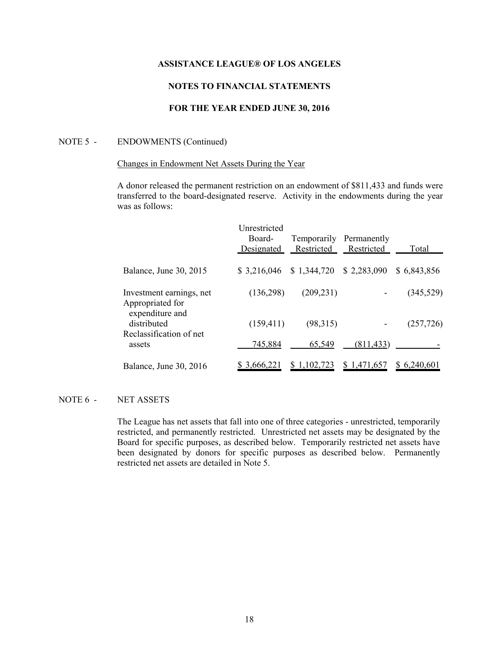## **NOTES TO FINANCIAL STATEMENTS**

## **FOR THE YEAR ENDED JUNE 30, 2016**

### NOTE 5 - ENDOWMENTS (Continued)

## Changes in Endowment Net Assets During the Year

A donor released the permanent restriction on an endowment of \$811,433 and funds were transferred to the board-designated reserve. Activity in the endowments during the year was as follows:

|                                        | Unrestricted<br>Board-<br>Designated | Restricted                | Temporarily Permanently<br>Restricted | Total       |
|----------------------------------------|--------------------------------------|---------------------------|---------------------------------------|-------------|
| Balance, June 30, 2015                 | \$ 3,216,046                         | $$1,344,720$ $$2,283,090$ |                                       | \$6,843,856 |
| Investment earnings, net               | (136, 298)                           | (209, 231)                |                                       | (345, 529)  |
| Appropriated for<br>expenditure and    |                                      |                           |                                       |             |
| distributed<br>Reclassification of net | (159, 411)                           | (98,315)                  |                                       | (257, 726)  |
| assets                                 | 745,884                              | 65,549                    | (811, 433)                            |             |
| Balance, June 30, 2016                 | \$ 3,666,221                         | 1,102,723                 | 1,471,657                             | 6.240.601   |

## NOTE 6 - NET ASSETS

The League has net assets that fall into one of three categories - unrestricted, temporarily restricted, and permanently restricted. Unrestricted net assets may be designated by the Board for specific purposes, as described below. Temporarily restricted net assets have been designated by donors for specific purposes as described below. Permanently restricted net assets are detailed in Note 5.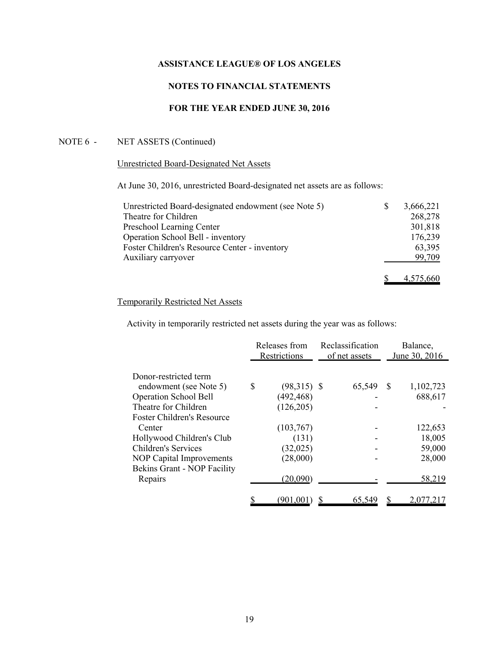# **NOTES TO FINANCIAL STATEMENTS**

## **FOR THE YEAR ENDED JUNE 30, 2016**

# NOTE 6 - NET ASSETS (Continued)

# Unrestricted Board-Designated Net Assets

At June 30, 2016, unrestricted Board-designated net assets are as follows:

| Unrestricted Board-designated endowment (see Note 5) | \$<br>3,666,221 |
|------------------------------------------------------|-----------------|
| Theatre for Children                                 | 268,278         |
| Preschool Learning Center                            | 301,818         |
| Operation School Bell - inventory                    | 176,239         |
| Foster Children's Resource Center - inventory        | 63,395          |
| Auxiliary carryover                                  | 99,709          |
|                                                      | 4,575,660       |
|                                                      |                 |

# Temporarily Restricted Net Assets

Activity in temporarily restricted net assets during the year was as follows:

|                                                                       | Releases from<br>Restrictions |  | Reclassification<br>of net assets | Balance,<br>June 30, 2016 |           |  |  |
|-----------------------------------------------------------------------|-------------------------------|--|-----------------------------------|---------------------------|-----------|--|--|
|                                                                       |                               |  |                                   |                           |           |  |  |
| Donor-restricted term<br>endowment (see Note 5)                       | \$<br>$(98,315)$ \$           |  | 65,549                            | $\mathbb{S}$              | 1,102,723 |  |  |
| <b>Operation School Bell</b>                                          | (492, 468)                    |  |                                   |                           | 688,617   |  |  |
| Theatre for Children                                                  | (126, 205)                    |  |                                   |                           |           |  |  |
| <b>Foster Children's Resource</b>                                     |                               |  |                                   |                           |           |  |  |
| Center                                                                | (103,767)                     |  |                                   |                           | 122,653   |  |  |
| Hollywood Children's Club                                             | (131)                         |  |                                   |                           | 18,005    |  |  |
| <b>Children's Services</b>                                            | (32,025)                      |  |                                   |                           | 59,000    |  |  |
| <b>NOP Capital Improvements</b><br><b>Bekins Grant - NOP Facility</b> | (28,000)                      |  |                                   |                           | 28,000    |  |  |
| Repairs                                                               | (20,090)                      |  |                                   |                           | 58,219    |  |  |
|                                                                       | \$<br>(901, 001)              |  | 65,549                            |                           | 2,077,217 |  |  |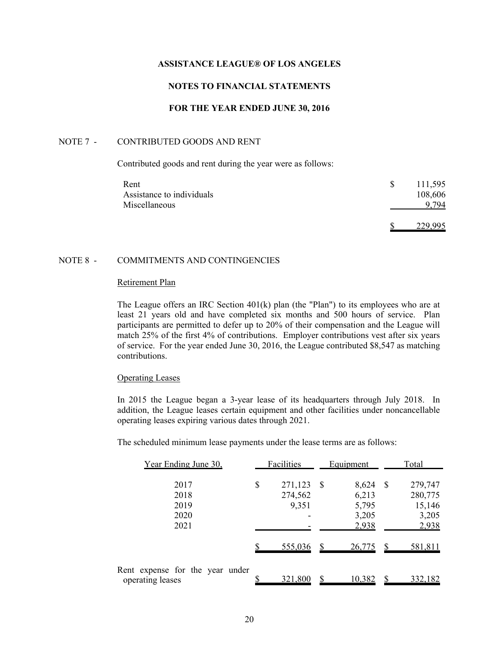## **NOTES TO FINANCIAL STATEMENTS**

## **FOR THE YEAR ENDED JUNE 30, 2016**

#### NOTE 7 - CONTRIBUTED GOODS AND RENT

Contributed goods and rent during the year were as follows:

| Rent<br>Assistance to individuals | 111,595<br>108,606 |
|-----------------------------------|--------------------|
| Miscellaneous                     | .794               |
|                                   | 229 995            |

## NOTE 8 - COMMITMENTS AND CONTINGENCIES

## Retirement Plan

The League offers an IRC Section 401(k) plan (the "Plan") to its employees who are at least 21 years old and have completed six months and 500 hours of service. Plan participants are permitted to defer up to 20% of their compensation and the League will match 25% of the first 4% of contributions. Employer contributions vest after six years of service. For the year ended June 30, 2016, the League contributed \$8,547 as matching contributions.

#### Operating Leases

In 2015 the League began a 3-year lease of its headquarters through July 2018. In addition, the League leases certain equipment and other facilities under noncancellable operating leases expiring various dates through 2021.

The scheduled minimum lease payments under the lease terms are as follows:

| Year Ending June 30.                                | Facilities                        |    | Equipment                                 |     | Total                                                 |
|-----------------------------------------------------|-----------------------------------|----|-------------------------------------------|-----|-------------------------------------------------------|
| 2017<br>2018<br>2019<br>2020<br>2021                | \$<br>271,123<br>274,562<br>9,351 | -S | 8,624<br>6,213<br>5,795<br>3,205<br>2,938 | -S  | 279,747<br>280,775<br>15,146<br>3,205<br><u>2,938</u> |
|                                                     | 555,036                           |    | 26,775                                    | \$. | 581,811                                               |
| Rent expense for the year under<br>operating leases | 321,800                           |    | 10,382                                    |     | 332,182                                               |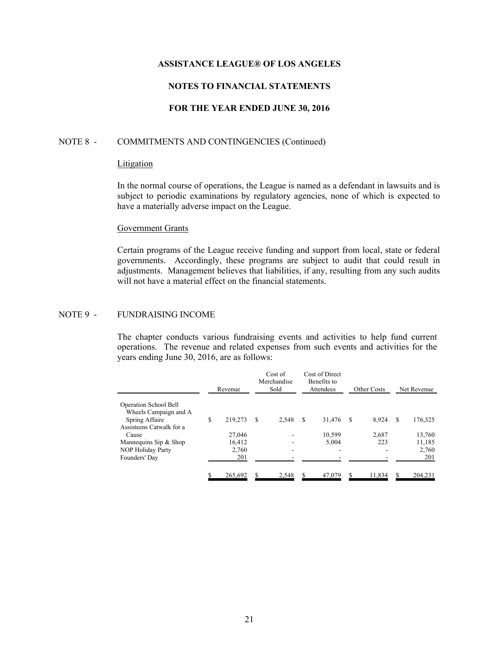## **NOTES TO FINANCIAL STATEMENTS**

## **FOR THE YEAR ENDED JUNE 30, 2016**

## NOTE 8 - COMMITMENTS AND CONTINGENCIES (Continued)

## **Litigation**

In the normal course of operations, the League is named as a defendant in lawsuits and is subject to periodic examinations by regulatory agencies, none of which is expected to have a materially adverse impact on the League.

### Government Grants

Certain programs of the League receive funding and support from local, state or federal governments. Accordingly, these programs are subject to audit that could result in adjustments. Management believes that liabilities, if any, resulting from any such audits will not have a material effect on the financial statements.

## NOTE 9 - FUNDRAISING INCOME

The chapter conducts various fundraising events and activities to help fund current operations. The revenue and related expenses from such events and activities for the years ending June 30, 2016, are as follows:

|                                                |   | Revenue |   | Cost of<br>Merchandise<br>Sold |               | Cost of Direct<br>Benefits to<br>Attendees |    | Other Costs |   | Net Revenue |
|------------------------------------------------|---|---------|---|--------------------------------|---------------|--------------------------------------------|----|-------------|---|-------------|
| Operation School Bell<br>Wheels Campaign and A |   |         |   |                                |               |                                            |    |             |   |             |
| Spring Affaire<br>Assisteens Catwalk for a     | S | 219,273 | S | 2.548                          | <sup>\$</sup> | 31,476                                     | -S | 8,924       | S | 176,325     |
| Cause                                          |   | 27,046  |   |                                |               | 10,599                                     |    | 2.687       |   | 13,760      |
| Mannequins Sip & Shop                          |   | 16,412  |   |                                |               | 5,004                                      |    | 223         |   | 11,185      |
| <b>NOP Holiday Party</b>                       |   | 2,760   |   |                                |               | ۰                                          |    |             |   | 2,760       |
| Founders' Day                                  |   | 201     |   |                                |               |                                            |    |             |   | 201         |
|                                                |   | 265,692 |   | 2,548                          |               | 47,079                                     |    | 11,834      |   | 204,231     |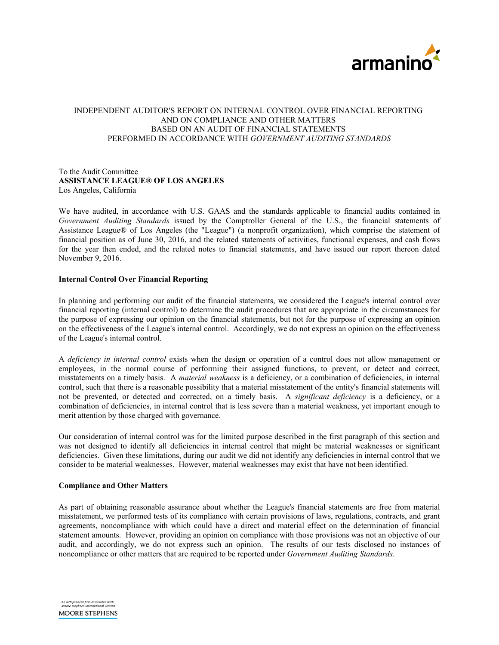

## INDEPENDENT AUDITOR'S REPORT ON INTERNAL CONTROL OVER FINANCIAL REPORTING AND ON COMPLIANCE AND OTHER MATTERS BASED ON AN AUDIT OF FINANCIAL STATEMENTS PERFORMED IN ACCORDANCE WITH *GOVERNMENT AUDITING STANDARDS*

### To the Audit Committee **ASSISTANCE LEAGUE® OF LOS ANGELES** Los Angeles, California

We have audited, in accordance with U.S. GAAS and the standards applicable to financial audits contained in *Government Auditing Standards* issued by the Comptroller General of the U.S., the financial statements of Assistance League® of Los Angeles (the "League") (a nonprofit organization), which comprise the statement of financial position as of June 30, 2016, and the related statements of activities, functional expenses, and cash flows for the year then ended, and the related notes to financial statements, and have issued our report thereon dated November 9, 2016.

#### **Internal Control Over Financial Reporting**

In planning and performing our audit of the financial statements, we considered the League's internal control over financial reporting (internal control) to determine the audit procedures that are appropriate in the circumstances for the purpose of expressing our opinion on the financial statements, but not for the purpose of expressing an opinion on the effectiveness of the League's internal control. Accordingly, we do not express an opinion on the effectiveness of the League's internal control.

A *deficiency in internal control* exists when the design or operation of a control does not allow management or employees, in the normal course of performing their assigned functions, to prevent, or detect and correct, misstatements on a timely basis. A *material weakness* is a deficiency, or a combination of deficiencies, in internal control, such that there is a reasonable possibility that a material misstatement of the entity's financial statements will not be prevented, or detected and corrected, on a timely basis. A *significant deficiency* is a deficiency, or a combination of deficiencies, in internal control that is less severe than a material weakness, yet important enough to merit attention by those charged with governance.

Our consideration of internal control was for the limited purpose described in the first paragraph of this section and was not designed to identify all deficiencies in internal control that might be material weaknesses or significant deficiencies. Given these limitations, during our audit we did not identify any deficiencies in internal control that we consider to be material weaknesses. However, material weaknesses may exist that have not been identified.

#### **Compliance and Other Matters**

As part of obtaining reasonable assurance about whether the League's financial statements are free from material misstatement, we performed tests of its compliance with certain provisions of laws, regulations, contracts, and grant agreements, noncompliance with which could have a direct and material effect on the determination of financial statement amounts. However, providing an opinion on compliance with those provisions was not an objective of our audit, and accordingly, we do not express such an opinion. The results of our tests disclosed no instances of noncompliance or other matters that are required to be reported under *Government Auditing Standards*.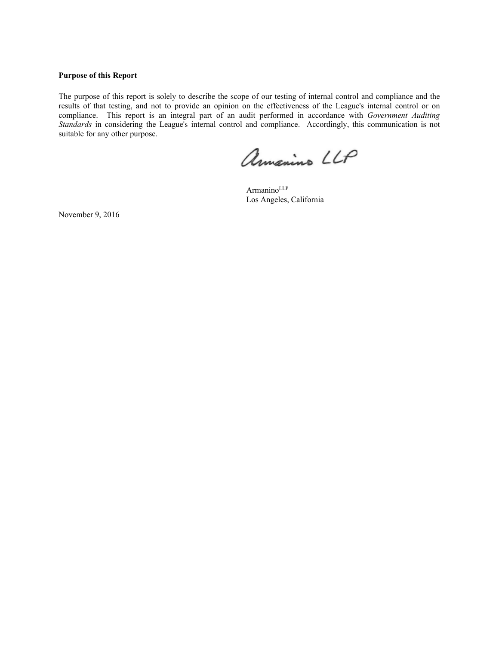#### **Purpose of this Report**

The purpose of this report is solely to describe the scope of our testing of internal control and compliance and the results of that testing, and not to provide an opinion on the effectiveness of the League's internal control or on compliance. This report is an integral part of an audit performed in accordance with *Government Auditing Standards* in considering the League's internal control and compliance. Accordingly, this communication is not suitable for any other purpose.

armanino LLP

Armanino<sup>LLP</sup> Los Angeles, California

November 9, 2016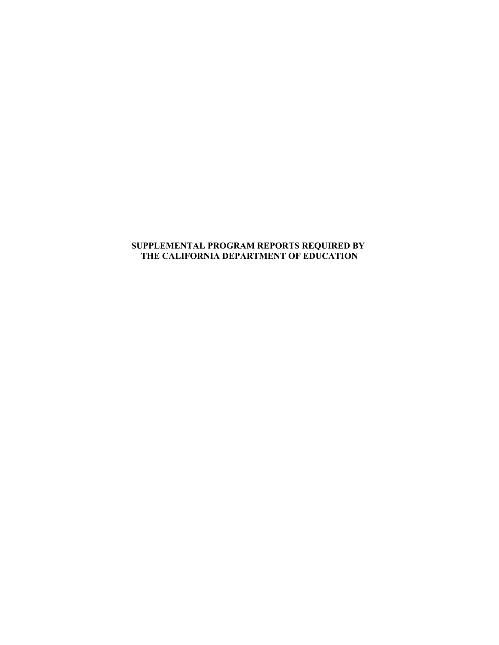## **SUPPLEMENTAL PROGRAM REPORTS REQUIRED BY THE CALIFORNIA DEPARTMENT OF EDUCATION**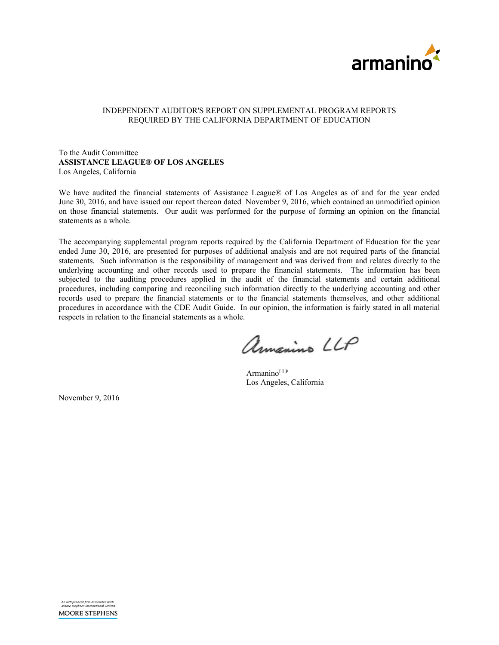

## INDEPENDENT AUDITOR'S REPORT ON SUPPLEMENTAL PROGRAM REPORTS REQUIRED BY THE CALIFORNIA DEPARTMENT OF EDUCATION

#### To the Audit Committee **ASSISTANCE LEAGUE® OF LOS ANGELES** Los Angeles, California

We have audited the financial statements of Assistance League® of Los Angeles as of and for the year ended June 30, 2016, and have issued our report thereon dated November 9, 2016, which contained an unmodified opinion on those financial statements. Our audit was performed for the purpose of forming an opinion on the financial statements as a whole.

The accompanying supplemental program reports required by the California Department of Education for the year ended June 30, 2016, are presented for purposes of additional analysis and are not required parts of the financial statements. Such information is the responsibility of management and was derived from and relates directly to the underlying accounting and other records used to prepare the financial statements. The information has been subjected to the auditing procedures applied in the audit of the financial statements and certain additional procedures, including comparing and reconciling such information directly to the underlying accounting and other records used to prepare the financial statements or to the financial statements themselves, and other additional procedures in accordance with the CDE Audit Guide. In our opinion, the information is fairly stated in all material respects in relation to the financial statements as a whole.

armanino LLP

ArmaninoLLP Los Angeles, California

November 9, 2016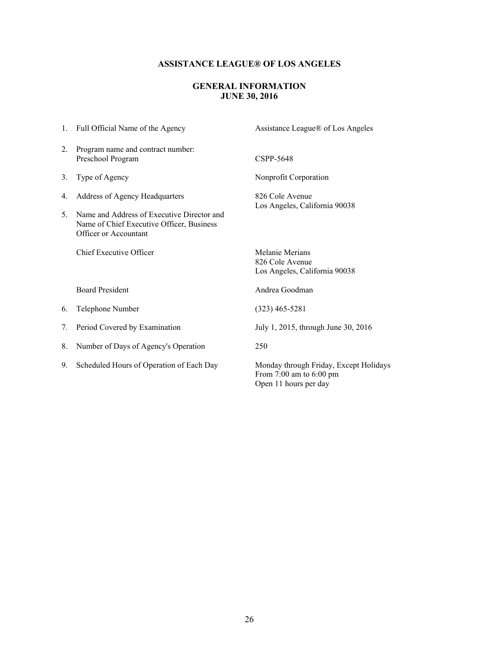# **GENERAL INFORMATION JUNE 30, 2016**

|               | 1. Full Official Name of the Agency                                                                                                                | Assistance League® of Los Angeles                                                          |
|---------------|----------------------------------------------------------------------------------------------------------------------------------------------------|--------------------------------------------------------------------------------------------|
| 2.            | Program name and contract number:<br>Preschool Program                                                                                             | CSPP-5648                                                                                  |
| 3.            | Type of Agency                                                                                                                                     | Nonprofit Corporation                                                                      |
| 4.<br>$5_{-}$ | Address of Agency Headquarters<br>Name and Address of Executive Director and<br>Name of Chief Executive Officer, Business<br>Officer or Accountant | 826 Cole Avenue<br>Los Angeles, California 90038                                           |
|               | Chief Executive Officer                                                                                                                            | <b>Melanie Merians</b><br>826 Cole Avenue<br>Los Angeles, California 90038                 |
|               | <b>Board President</b>                                                                                                                             | Andrea Goodman                                                                             |
| 6.            | Telephone Number                                                                                                                                   | $(323)$ 465-5281                                                                           |
| 7.            | Period Covered by Examination                                                                                                                      | July 1, 2015, through June 30, 2016                                                        |
| 8.            | Number of Days of Agency's Operation                                                                                                               | 250                                                                                        |
| 9.            | Scheduled Hours of Operation of Each Day                                                                                                           | Monday through Friday, Except Holidays<br>From 7:00 am to 6:00 pm<br>Open 11 hours per day |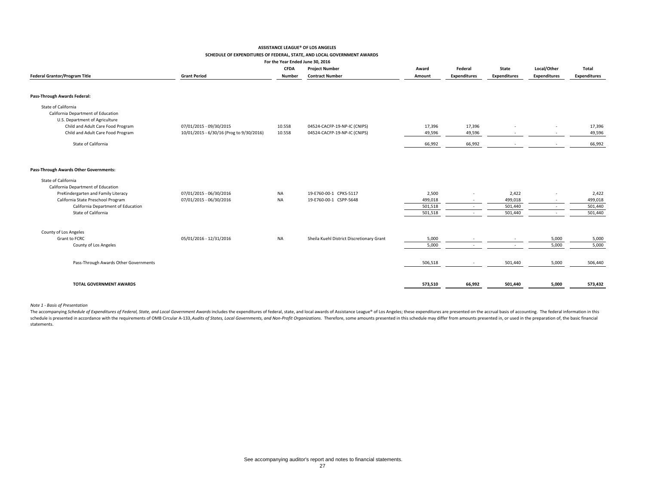#### **ASSISTANCE LEAGUE® OF LOS ANGELES SCHEDULE OF EXPENDITURES OF FEDERAL, STATE, AND LOCAL GOVERNMENT AWARDS**

|                                                                     |                                          | For the Year Ended June 30, 2016 |                                           |         |                     |                     |                          |                     |
|---------------------------------------------------------------------|------------------------------------------|----------------------------------|-------------------------------------------|---------|---------------------|---------------------|--------------------------|---------------------|
|                                                                     |                                          | <b>CFDA</b>                      | <b>Project Number</b>                     | Award   | Federal             | State               | Local/Other              | Total               |
| <b>Federal Grantor/Program Title</b>                                | <b>Grant Period</b>                      | <b>Number</b>                    | <b>Contract Number</b>                    | Amount  | <b>Expenditures</b> | <b>Expenditures</b> | <b>Expenditures</b>      | <b>Expenditures</b> |
| Pass-Through Awards Federal:                                        |                                          |                                  |                                           |         |                     |                     |                          |                     |
| State of California<br>California Department of Education           |                                          |                                  |                                           |         |                     |                     |                          |                     |
| U.S. Department of Agriculture<br>Child and Adult Care Food Program | 07/01/2015 - 09/30/2015                  | 10.558                           | 04524-CACFP-19-NP-IC (CNIPS)              | 17,396  | 17,396              |                     |                          | 17,396              |
| Child and Adult Care Food Program                                   | 10/01/2015 - 6/30/16 (Prog to 9/30/2016) | 10.558                           | 04524-CACFP-19-NP-IC (CNIPS)              | 49,596  | 49,596              |                     | $\overline{\phantom{a}}$ | 49,596              |
|                                                                     |                                          |                                  |                                           |         |                     |                     |                          |                     |
| State of California                                                 |                                          |                                  |                                           | 66,992  | 66,992              | a.                  | $\sim$                   | 66,992              |
| Pass-Through Awards Other Governments:                              |                                          |                                  |                                           |         |                     |                     |                          |                     |
| State of California                                                 |                                          |                                  |                                           |         |                     |                     |                          |                     |
| California Department of Education                                  |                                          |                                  |                                           |         |                     |                     |                          |                     |
| PreKindergarten and Family Literacy                                 | 07/01/2015 - 06/30/2016                  | <b>NA</b>                        | 19-E760-00-1 CPKS-5117                    | 2,500   |                     | 2,422               |                          | 2,422               |
| California State Preschool Program                                  | 07/01/2015 - 06/30/2016                  | NA                               | 19-E760-00-1 CSPP-5648                    | 499,018 |                     | 499,018             |                          | 499,018             |
| California Department of Education                                  |                                          |                                  |                                           | 501,518 | $\sim$              | 501,440             | $\sim$                   | 501,440             |
| State of California                                                 |                                          |                                  |                                           | 501,518 | $\sim$              | 501,440             | $\overline{\phantom{a}}$ | 501,440             |
| County of Los Angeles                                               |                                          |                                  |                                           |         |                     |                     |                          |                     |
| Grant to FCRC                                                       | 05/01/2016 - 12/31/2016                  | <b>NA</b>                        | Sheila Kuehl District Discretionary Grant | 5,000   |                     |                     | 5,000                    | 5,000               |
| County of Los Angeles                                               |                                          |                                  |                                           | 5,000   |                     |                     | 5,000                    | 5,000               |
| Pass-Through Awards Other Governments                               |                                          |                                  |                                           | 506,518 | $\sim$              | 501,440             | 5,000                    | 506,440             |
|                                                                     |                                          |                                  |                                           |         |                     |                     |                          |                     |
| <b>TOTAL GOVERNMENT AWARDS</b>                                      |                                          |                                  |                                           | 573,510 | 66,992              | 501,440             | 5,000                    | 573,432             |

*Note 1 ‐ Basis of Presentation*

The accompanying Schedule of Expenditures of Federal, State, and Local Government Awards includes the expenditures of federal, state, and local awards of Assistance League® of Los Angeles; these expenditures are presented schedule is presented in accordance with the requirements of OMB Circular A-133,Audits of States, Local Governments, and Non-Profit Organizations. Therefore, some amounts presented in this schedule may differ from amounts statements.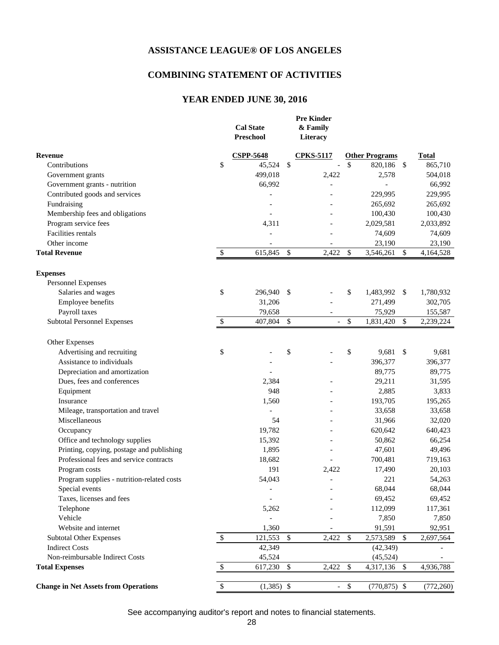## **COMBINING STATEMENT OF ACTIVITIES**

## **YEAR ENDED JUNE 30, 2016**

|                                             |      | <b>Cal State</b><br>Preschool |              | <b>Pre Kinder</b><br>& Family<br>Literacy |             |                          |                           |              |
|---------------------------------------------|------|-------------------------------|--------------|-------------------------------------------|-------------|--------------------------|---------------------------|--------------|
| Revenue                                     |      | <b>CSPP-5648</b>              |              | <b>CPKS-5117</b>                          |             | <b>Other Programs</b>    |                           | <b>Total</b> |
| Contributions                               | \$   | 45,524                        | $\mathbb{S}$ | $\overline{a}$                            | $\sqrt{\ }$ | 820,186 \$               |                           | 865,710      |
| Government grants                           |      | 499,018                       |              | 2,422                                     |             | 2,578                    |                           | 504,018      |
| Government grants - nutrition               |      | 66,992                        |              |                                           |             | $\overline{\phantom{a}}$ |                           | 66,992       |
| Contributed goods and services              |      |                               |              |                                           |             | 229,995                  |                           | 229,995      |
| Fundraising                                 |      |                               |              |                                           |             | 265,692                  |                           | 265,692      |
| Membership fees and obligations             |      |                               |              |                                           |             | 100,430                  |                           | 100,430      |
| Program service fees                        |      | 4,311                         |              |                                           |             | 2,029,581                |                           | 2,033,892    |
| Facilities rentals                          |      |                               |              |                                           |             | 74,609                   |                           | 74,609       |
| Other income                                |      |                               |              |                                           |             | 23,190                   |                           | 23,190       |
| <b>Total Revenue</b>                        | \$   | 615,845                       | \$           | 2,422                                     | $\sqrt{\ }$ | 3,546,261                | \$                        | 4,164,528    |
| <b>Expenses</b>                             |      |                               |              |                                           |             |                          |                           |              |
| Personnel Expenses                          |      |                               |              |                                           |             |                          |                           |              |
| Salaries and wages                          | \$   | 296,940                       | \$           |                                           | \$          | 1,483,992 \$             |                           | 1,780,932    |
| Employee benefits                           |      | 31,206                        |              |                                           |             | 271,499                  |                           | 302,705      |
| Payroll taxes                               |      | 79,658                        |              |                                           |             | 75,929                   |                           | 155,587      |
| <b>Subtotal Personnel Expenses</b>          | \$   | 407,804                       | $\mathbb{S}$ |                                           | \$          | 1,831,420                | $\boldsymbol{\mathsf{S}}$ | 2,239,224    |
| Other Expenses                              |      |                               |              |                                           |             |                          |                           |              |
| Advertising and recruiting                  | \$   |                               | \$           |                                           | \$          | 9,681                    | -\$                       | 9,681        |
| Assistance to individuals                   |      |                               |              |                                           |             | 396,377                  |                           | 396,377      |
| Depreciation and amortization               |      |                               |              |                                           |             | 89,775                   |                           | 89,775       |
| Dues, fees and conferences                  |      | 2,384                         |              |                                           |             | 29,211                   |                           | 31,595       |
| Equipment                                   |      | 948                           |              |                                           |             | 2,885                    |                           | 3,833        |
| Insurance                                   |      | 1,560                         |              |                                           |             | 193,705                  |                           | 195,265      |
| Mileage, transportation and travel          |      |                               |              |                                           |             | 33,658                   |                           | 33,658       |
| Miscellaneous                               |      | 54                            |              |                                           |             | 31,966                   |                           | 32,020       |
| Occupancy                                   |      | 19,782                        |              |                                           |             | 620,642                  |                           | 640,423      |
| Office and technology supplies              |      | 15,392                        |              |                                           |             | 50,862                   |                           | 66,254       |
| Printing, copying, postage and publishing   |      | 1,895                         |              |                                           |             | 47,601                   |                           | 49,496       |
| Professional fees and service contracts     |      | 18,682                        |              |                                           |             | 700,481                  |                           | 719,163      |
| Program costs                               |      | 191                           |              | 2,422                                     |             | 17,490                   |                           | 20,103       |
| Program supplies - nutrition-related costs  |      | 54,043                        |              |                                           |             | 221                      |                           | 54,263       |
| Special events                              |      |                               |              |                                           |             | 68,044                   |                           | 68,044       |
| Taxes, licenses and fees                    |      |                               |              |                                           |             | 69,452                   |                           | 69,452       |
| Telephone                                   |      | 5,262                         |              |                                           |             | 112,099                  |                           | 117,361      |
| Vehicle                                     |      |                               |              |                                           |             | 7,850                    |                           | 7,850        |
| Website and internet                        |      | 1,360                         |              |                                           |             | 91,591                   |                           | 92,951       |
| <b>Subtotal Other Expenses</b>              | $\$$ | 121,553                       | \$           | 2,422                                     | \$          | 2,573,589                | \$                        | 2,697,564    |
| <b>Indirect Costs</b>                       |      | 42,349                        |              |                                           |             | (42, 349)                |                           |              |
| Non-reimbursable Indirect Costs             |      | 45,524                        |              |                                           |             | (45, 524)                |                           |              |
| <b>Total Expenses</b>                       | \$   | 617,230                       | \$           | 2,422                                     | \$          | 4,317,136                | \$                        | 4,936,788    |
| <b>Change in Net Assets from Operations</b> | \$   | $(1,385)$ \$                  |              | $\overline{\phantom{a}}$                  | \$          | $(770, 875)$ \$          |                           | (772, 260)   |
|                                             |      |                               |              |                                           |             |                          |                           |              |

See accompanying auditor's report and notes to financial statements.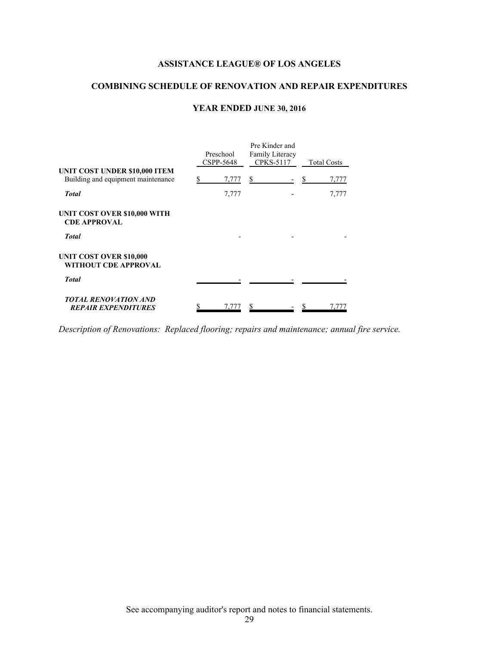## **COMBINING SCHEDULE OF RENOVATION AND REPAIR EXPENDITURES**

|                                                        | Preschool<br>CSPP-5648 | Pre Kinder and<br><b>Family Literacy</b><br><b>CPKS-5117</b> |  | <b>Total Costs</b> |
|--------------------------------------------------------|------------------------|--------------------------------------------------------------|--|--------------------|
| UNIT COST UNDER \$10,000 ITEM                          |                        |                                                              |  |                    |
| Building and equipment maintenance                     | 7.777                  | S                                                            |  | 7.777              |
| <b>Total</b>                                           | 7,777                  |                                                              |  | 7,777              |
| UNIT COST OVER \$10,000 WITH<br><b>CDE APPROVAL</b>    |                        |                                                              |  |                    |
| <b>Total</b>                                           |                        |                                                              |  |                    |
| <b>UNIT COST OVER \$10,000</b><br>WITHOUT CDE APPROVAL |                        |                                                              |  |                    |
| <b>Total</b>                                           |                        |                                                              |  |                    |
| <b>TOTAL RENOVATION AND</b>                            |                        |                                                              |  |                    |
| <b>REPAIR EXPENDITURES</b>                             | 7.777                  |                                                              |  | 7.777              |

## **YEAR ENDED JUNE 30, 2016**

*Description of Renovations: Replaced flooring; repairs and maintenance; annual fire service.*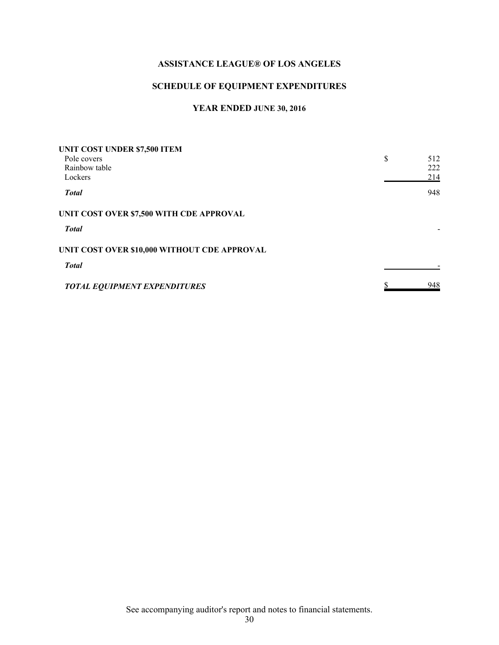# **SCHEDULE OF EQUIPMENT EXPENDITURES**

## **YEAR ENDED JUNE 30, 2016**

| <b>UNIT COST UNDER \$7,500 ITEM</b>          |           |
|----------------------------------------------|-----------|
| Pole covers                                  | \$<br>512 |
| Rainbow table                                | 222       |
| Lockers                                      | 214       |
| <b>Total</b>                                 | 948       |
| UNIT COST OVER \$7,500 WITH CDE APPROVAL     |           |
| <b>Total</b>                                 |           |
| UNIT COST OVER \$10,000 WITHOUT CDE APPROVAL |           |
| <b>Total</b>                                 |           |
| <b>TOTAL EQUIPMENT EXPENDITURES</b>          | 948       |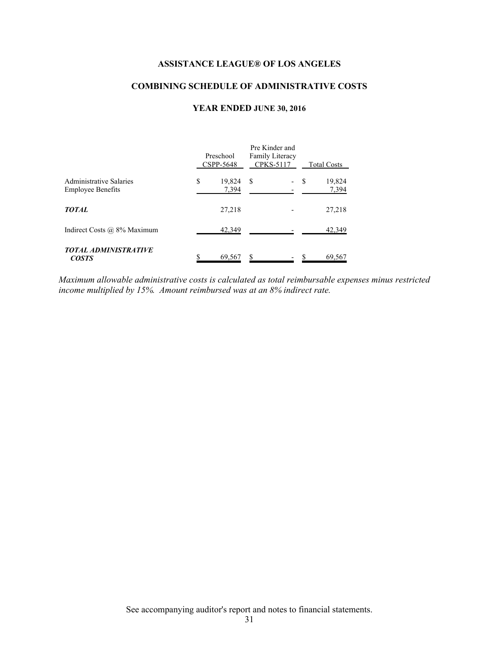## **COMBINING SCHEDULE OF ADMINISTRATIVE COSTS**

|                                                     |   | Preschool<br>CSPP-5648 | <b>CPKS-5117</b> | Pre Kinder and<br><b>Family Literacy</b> | <b>Total Costs</b> |                 |  |
|-----------------------------------------------------|---|------------------------|------------------|------------------------------------------|--------------------|-----------------|--|
| Administrative Salaries<br><b>Employee Benefits</b> | S | 19,824<br>7,394        | -S               | $\overline{\phantom{0}}$                 | - S                | 19,824<br>7,394 |  |
| <b>TOTAL</b>                                        |   | 27,218                 |                  |                                          |                    | 27,218          |  |
| Indirect Costs @ 8% Maximum                         |   | 42,349                 |                  |                                          |                    | 42,349          |  |
| <b>TOTAL ADMINISTRATIVE</b><br><b>COSTS</b>         |   | 69,567                 |                  |                                          |                    | 69,567          |  |

### **YEAR ENDED JUNE 30, 2016**

*Maximum allowable administrative costs is calculated as total reimbursable expenses minus restricted income multiplied by 15%. Amount reimbursed was at an 8% indirect rate.*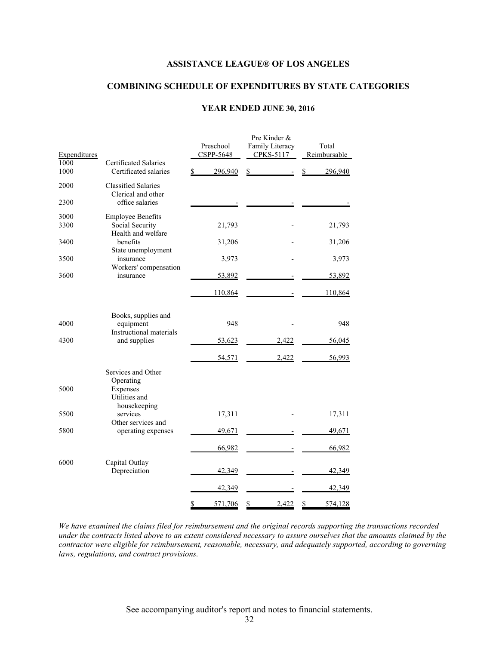## **COMBINING SCHEDULE OF EXPENDITURES BY STATE CATEGORIES**

|                      |                                                                    |                  |         | Pre Kinder &            |       |                                    |              |
|----------------------|--------------------------------------------------------------------|------------------|---------|-------------------------|-------|------------------------------------|--------------|
|                      |                                                                    | Preschool        |         | Family Literacy         |       |                                    | Total        |
| Expenditures<br>1000 | <b>Certificated Salaries</b>                                       | <b>CSPP-5648</b> |         | CPKS-5117               |       |                                    | Reimbursable |
| 1000                 | Certificated salaries                                              | \$               | 296,940 | $\overline{\mathbf{S}}$ |       | $\mathbf{\underline{\mathcal{S}}}$ | 296,940      |
| 2000                 | <b>Classified Salaries</b><br>Clerical and other                   |                  |         |                         |       |                                    |              |
| 2300                 | office salaries                                                    |                  |         |                         |       |                                    |              |
| 3000<br>3300         | <b>Employee Benefits</b><br>Social Security                        |                  | 21,793  |                         |       |                                    | 21,793       |
| 3400                 | Health and welfare<br>benefits                                     |                  | 31,206  |                         |       |                                    | 31,206       |
| 3500                 | State unemployment<br>insurance                                    |                  | 3,973   |                         |       |                                    | 3,973        |
| 3600                 | Workers' compensation<br>insurance                                 |                  | 53,892  |                         |       |                                    | 53,892       |
|                      |                                                                    |                  | 110,864 |                         |       |                                    | 110,864      |
| 4000                 | Books, supplies and<br>equipment<br><b>Instructional materials</b> |                  | 948     |                         |       |                                    | 948          |
| 4300                 | and supplies                                                       |                  | 53,623  |                         | 2,422 |                                    | 56,045       |
|                      |                                                                    |                  | 54,571  |                         | 2,422 |                                    | 56,993       |
| 5000                 | Services and Other<br>Operating<br>Expenses<br>Utilities and       |                  |         |                         |       |                                    |              |
| 5500                 | housekeeping<br>services<br>Other services and                     |                  | 17,311  |                         |       |                                    | 17,311       |
| 5800                 | operating expenses                                                 |                  | 49,671  |                         |       |                                    | 49,671       |
|                      |                                                                    |                  | 66,982  |                         |       |                                    | 66,982       |
| 6000                 | Capital Outlay<br>Depreciation                                     |                  | 42,349  |                         |       |                                    | 42,349       |
|                      |                                                                    |                  | 42,349  |                         |       |                                    | 42,349       |
|                      |                                                                    | <u>\$</u>        | 571,706 | $\frac{1}{2}$           | 2,422 | $\mathbf{\underline{\mathcal{S}}}$ | 574,128      |

#### **YEAR ENDED JUNE 30, 2016**

*We have examined the claims filed for reimbursement and the original records supporting the transactions recorded under the contracts listed above to an extent considered necessary to assure ourselves that the amounts claimed by the contractor were eligible for reimbursement, reasonable, necessary, and adequately supported, according to governing laws, regulations, and contract provisions.*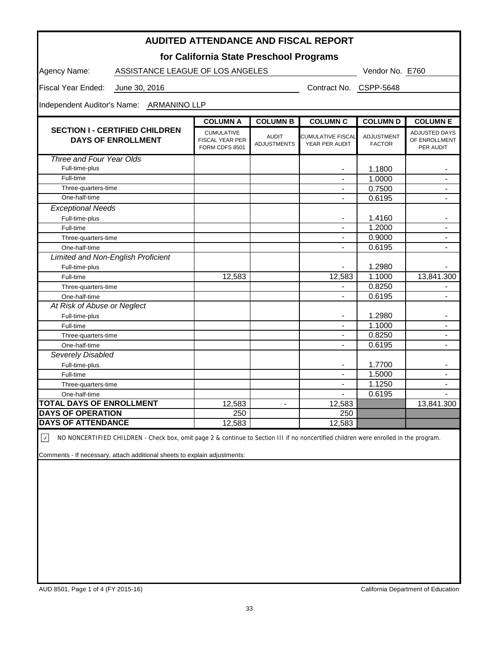| AUDITED ATTENDANCE AND FISCAL REPORT |  |
|--------------------------------------|--|
|--------------------------------------|--|

**for California State Preschool Programs**

Agency Name: Vendor No. E760 ASSISTANCE LEAGUE OF LOS ANGELES

Contract No. CSPP-5648

Fiscal Year Ended: June 30, 2016

Independent Auditor's Name: ARMANINO LLP

|                                                                    | <b>COLUMN A</b>                                               | <b>COLUMN B</b>                    | <b>COLUMN C</b>                            | <b>COLUMN D</b>                    | <b>COLUMN E</b>                                    |
|--------------------------------------------------------------------|---------------------------------------------------------------|------------------------------------|--------------------------------------------|------------------------------------|----------------------------------------------------|
| <b>SECTION I - CERTIFIED CHILDREN</b><br><b>DAYS OF ENROLLMENT</b> | <b>CUMULATIVE</b><br><b>FISCAL YEAR PER</b><br>FORM CDFS 8501 | <b>AUDIT</b><br><b>ADJUSTMENTS</b> | <b>CUMULATIVE FISCAL</b><br>YEAR PER AUDIT | <b>ADJUSTMENT</b><br><b>FACTOR</b> | <b>ADJUSTED DAYS</b><br>OF ENROLLMENT<br>PER AUDIT |
| Three and Four Year Olds                                           |                                                               |                                    |                                            |                                    |                                                    |
| Full-time-plus                                                     |                                                               |                                    |                                            | 1.1800                             |                                                    |
| Full-time                                                          |                                                               |                                    | $\overline{\phantom{a}}$                   | 1.0000                             | $\blacksquare$                                     |
| Three-quarters-time                                                |                                                               |                                    |                                            | 0.7500                             |                                                    |
| One-half-time                                                      |                                                               |                                    | $\blacksquare$                             | 0.6195                             |                                                    |
| <b>Exceptional Needs</b>                                           |                                                               |                                    |                                            |                                    |                                                    |
| Full-time-plus                                                     |                                                               |                                    | $\blacksquare$                             | 1.4160                             |                                                    |
| Full-time                                                          |                                                               |                                    |                                            | 1.2000                             |                                                    |
| Three-quarters-time                                                |                                                               |                                    |                                            | 0.9000                             |                                                    |
| One-half-time                                                      |                                                               |                                    |                                            | 0.6195                             |                                                    |
| Limited and Non-English Proficient                                 |                                                               |                                    |                                            |                                    |                                                    |
| Full-time-plus                                                     |                                                               |                                    |                                            | 1.2980                             |                                                    |
| Full-time                                                          | 12,583                                                        |                                    | 12,583                                     | 1.1000                             | 13,841.300                                         |
| Three-quarters-time                                                |                                                               |                                    |                                            | 0.8250                             |                                                    |
| One-half-time                                                      |                                                               |                                    | $\blacksquare$                             | 0.6195                             | $\blacksquare$                                     |
| At Risk of Abuse or Neglect                                        |                                                               |                                    |                                            |                                    |                                                    |
| Full-time-plus                                                     |                                                               |                                    | $\blacksquare$                             | 1.2980                             |                                                    |
| Full-time                                                          |                                                               |                                    | $\qquad \qquad \blacksquare$               | 1.1000                             | $\overline{\phantom{a}}$                           |
| Three-quarters-time                                                |                                                               |                                    | $\overline{\phantom{a}}$                   | 0.8250                             | $\blacksquare$                                     |
| One-half-time                                                      |                                                               |                                    |                                            | 0.6195                             |                                                    |
| Severely Disabled                                                  |                                                               |                                    |                                            |                                    |                                                    |
| Full-time-plus                                                     |                                                               |                                    | $\blacksquare$                             | 1.7700                             |                                                    |
| Full-time                                                          |                                                               |                                    | $\blacksquare$                             | 1.5000                             |                                                    |
| Three-quarters-time                                                |                                                               |                                    |                                            | 1.1250                             |                                                    |
| One-half-time                                                      |                                                               |                                    | $\overline{a}$                             | 0.6195                             |                                                    |
| <b>TOTAL DAYS OF ENROLLMENT</b>                                    | 12,583                                                        | Ξ.                                 | 12,583                                     |                                    | 13,841.300                                         |
| <b>DAYS OF OPERATION</b>                                           | 250                                                           |                                    | 250                                        |                                    |                                                    |
| <b>DAYS OF ATTENDANCE</b>                                          | 12,583                                                        |                                    | 12,583                                     |                                    |                                                    |

 $\overline{\mathcal{L}}$ NO NONCERTIFIED CHILDREN - Check box, omit page 2 & continue to Section III if no noncertified children were enrolled in the program.

Comments - If necessary, attach additional sheets to explain adjustments: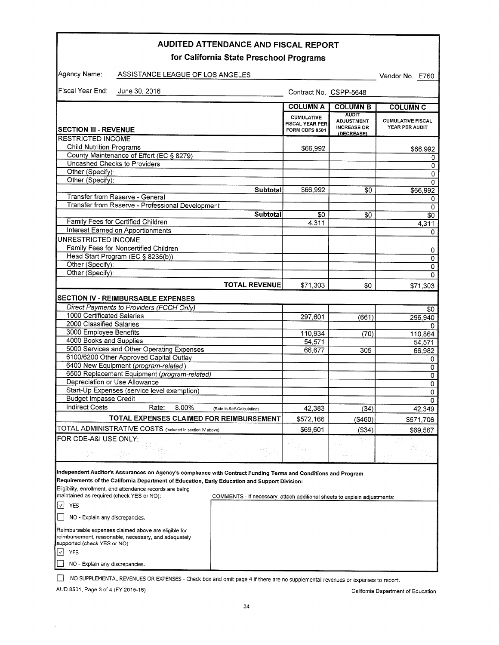## AUDITED ATTENDANCE AND FISCAL REPORT

for California State Preschool Programs

Agency Name: ASSISTANCE LEAGUE OF LOS ANGELES

Vendor No. E760

| Fiscal Year End: |  | June 30, 2016 |
|------------------|--|---------------|
|                  |  |               |

Contract No. CSPP-5648

| <b>VUITO VV. ZVIL</b>                                                                                                                                                                                                                                                                                                                                                                                                            | CONTRACT NO. COPP-0046                                        |                                                                       |                                            |  |  |  |
|----------------------------------------------------------------------------------------------------------------------------------------------------------------------------------------------------------------------------------------------------------------------------------------------------------------------------------------------------------------------------------------------------------------------------------|---------------------------------------------------------------|-----------------------------------------------------------------------|--------------------------------------------|--|--|--|
|                                                                                                                                                                                                                                                                                                                                                                                                                                  | <b>COLUMN A</b>                                               | <b>COLUMN B</b>                                                       | <b>COLUMN C</b>                            |  |  |  |
| <b>SECTION III - REVENUE</b>                                                                                                                                                                                                                                                                                                                                                                                                     | <b>CUMULATIVE</b><br><b>FISCAL YEAR PER</b><br>FORM CDFS 8501 | <b>AUDIT</b><br><b>ADJUSTMENT</b><br><b>INCREASE OR</b><br>(DECREASE) | <b>CUMULATIVE FISCAL</b><br>YEAR PER AUDIT |  |  |  |
| <b>RESTRICTED INCOME</b>                                                                                                                                                                                                                                                                                                                                                                                                         |                                                               |                                                                       |                                            |  |  |  |
| <b>Child Nutrition Programs</b>                                                                                                                                                                                                                                                                                                                                                                                                  | \$66,992                                                      |                                                                       | \$66,992                                   |  |  |  |
| County Maintenance of Effort (EC § 8279)                                                                                                                                                                                                                                                                                                                                                                                         |                                                               |                                                                       | 0                                          |  |  |  |
| Uncashed Checks to Providers                                                                                                                                                                                                                                                                                                                                                                                                     |                                                               |                                                                       | 0                                          |  |  |  |
| Other (Specify):<br>Other (Specify):                                                                                                                                                                                                                                                                                                                                                                                             |                                                               |                                                                       | 0                                          |  |  |  |
| Subtotal                                                                                                                                                                                                                                                                                                                                                                                                                         | \$66,992                                                      |                                                                       | 0                                          |  |  |  |
| Transfer from Reserve - General                                                                                                                                                                                                                                                                                                                                                                                                  |                                                               | \$0                                                                   | \$66,992<br>0                              |  |  |  |
| Transfer from Reserve - Professional Development                                                                                                                                                                                                                                                                                                                                                                                 |                                                               |                                                                       | 0                                          |  |  |  |
| Subtotal                                                                                                                                                                                                                                                                                                                                                                                                                         | \$0                                                           | \$0                                                                   | $\overline{50}$                            |  |  |  |
| Family Fees for Certified Children                                                                                                                                                                                                                                                                                                                                                                                               | 4,311                                                         |                                                                       | 4,311                                      |  |  |  |
| Interest Earned on Apportionments                                                                                                                                                                                                                                                                                                                                                                                                |                                                               |                                                                       | 0                                          |  |  |  |
| UNRESTRICTED INCOME                                                                                                                                                                                                                                                                                                                                                                                                              |                                                               |                                                                       |                                            |  |  |  |
| Family Fees for Noncertified Children                                                                                                                                                                                                                                                                                                                                                                                            |                                                               |                                                                       | 0                                          |  |  |  |
| Head Start Program (EC § 8235(b))                                                                                                                                                                                                                                                                                                                                                                                                |                                                               |                                                                       | $\overline{0}$                             |  |  |  |
| Other (Specify):                                                                                                                                                                                                                                                                                                                                                                                                                 |                                                               |                                                                       | 0                                          |  |  |  |
| Other (Specify):                                                                                                                                                                                                                                                                                                                                                                                                                 |                                                               |                                                                       | 0                                          |  |  |  |
| <b>TOTAL REVENUE</b>                                                                                                                                                                                                                                                                                                                                                                                                             | \$71,303                                                      | \$0                                                                   | \$71,303                                   |  |  |  |
| SECTION IV - REIMBURSABLE EXPENSES                                                                                                                                                                                                                                                                                                                                                                                               |                                                               |                                                                       |                                            |  |  |  |
| Direct Payments to Providers (FCCH Only)                                                                                                                                                                                                                                                                                                                                                                                         |                                                               |                                                                       |                                            |  |  |  |
| 1000 Certificated Salaries                                                                                                                                                                                                                                                                                                                                                                                                       | 297.601                                                       |                                                                       | \$0                                        |  |  |  |
| 2000 Classified Salaries                                                                                                                                                                                                                                                                                                                                                                                                         |                                                               | (661)                                                                 | 296,940                                    |  |  |  |
| 3000 Employee Benefits                                                                                                                                                                                                                                                                                                                                                                                                           | 110,934                                                       | (70)                                                                  | O.<br>110,864                              |  |  |  |
| 4000 Books and Supplies                                                                                                                                                                                                                                                                                                                                                                                                          | 54,571                                                        |                                                                       | 54,571                                     |  |  |  |
| 5000 Services and Other Operating Expenses                                                                                                                                                                                                                                                                                                                                                                                       | 66,677                                                        | 305                                                                   | 66,982                                     |  |  |  |
| 6100/6200 Other Approved Capital Outlay                                                                                                                                                                                                                                                                                                                                                                                          |                                                               |                                                                       | 0                                          |  |  |  |
| 6400 New Equipment (program-related)                                                                                                                                                                                                                                                                                                                                                                                             |                                                               |                                                                       | 0                                          |  |  |  |
| 6500 Replacement Equipment (program-related)                                                                                                                                                                                                                                                                                                                                                                                     |                                                               |                                                                       | 0                                          |  |  |  |
| Depreciation or Use Allowance                                                                                                                                                                                                                                                                                                                                                                                                    |                                                               |                                                                       | 0                                          |  |  |  |
| Start-Up Expenses (service level exemption)                                                                                                                                                                                                                                                                                                                                                                                      |                                                               |                                                                       | 0                                          |  |  |  |
| <b>Budget Impasse Credit</b>                                                                                                                                                                                                                                                                                                                                                                                                     |                                                               |                                                                       | 0                                          |  |  |  |
| <b>Indirect Costs</b><br>Rate:<br>8.00%<br>(Rate is Self-Calculating)                                                                                                                                                                                                                                                                                                                                                            | 42,383                                                        | (34)                                                                  | 42,349                                     |  |  |  |
| TOTAL EXPENSES CLAIMED FOR REIMBURSEMENT                                                                                                                                                                                                                                                                                                                                                                                         | \$572,166                                                     | (\$460)                                                               | \$571,706                                  |  |  |  |
| TOTAL ADMINISTRATIVE COSTS (included in section IV above)                                                                                                                                                                                                                                                                                                                                                                        | \$69,601                                                      | (\$34)                                                                | \$69,567                                   |  |  |  |
| FOR CDE-A&I USE ONLY:                                                                                                                                                                                                                                                                                                                                                                                                            |                                                               |                                                                       |                                            |  |  |  |
|                                                                                                                                                                                                                                                                                                                                                                                                                                  |                                                               |                                                                       |                                            |  |  |  |
|                                                                                                                                                                                                                                                                                                                                                                                                                                  |                                                               |                                                                       |                                            |  |  |  |
| Independent Auditor's Assurances on Agency's compliance with Contract Funding Terms and Conditions and Program<br>Requirements of the California Department of Education, Early Education and Support Division:<br>Eligibility, enrollment, and attendance records are being<br>maintained as required (check YES or NO):<br>COMMENTS - If necessary, attach additional sheets to explain adjustments:<br>$ \vee $<br><b>YES</b> |                                                               |                                                                       |                                            |  |  |  |
| NO - Explain any discrepancies.                                                                                                                                                                                                                                                                                                                                                                                                  |                                                               |                                                                       |                                            |  |  |  |
| Reimbursable expenses claimed above are eligible for<br>reimbursement, reasonable, necessary, and adequately<br>supported (check YES or NO):<br><b>YES</b><br>√                                                                                                                                                                                                                                                                  |                                                               |                                                                       |                                            |  |  |  |
| NO - Explain any discrepancies.                                                                                                                                                                                                                                                                                                                                                                                                  |                                                               |                                                                       |                                            |  |  |  |
|                                                                                                                                                                                                                                                                                                                                                                                                                                  |                                                               |                                                                       |                                            |  |  |  |

NO SUPPLEMENTAL REVENUES OR EXPENSES - Check box and omit page 4 if there are no supplemental revenues or expenses to report.

AUD 8501, Page 3 of 4 (FY 2015-16)

 $\bar{\bar{z}}$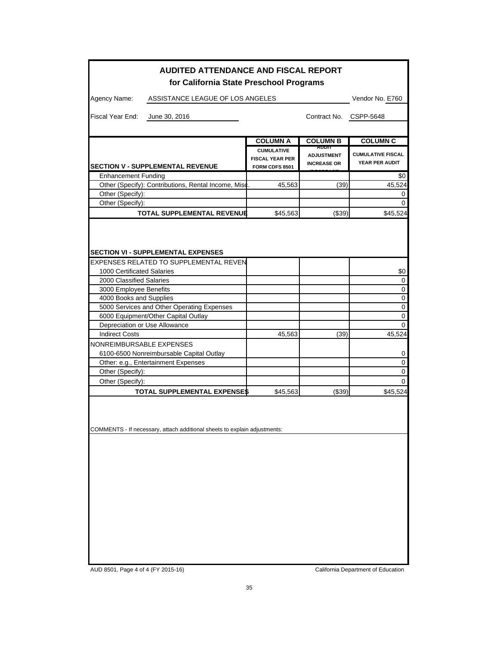| for California State Preschool Programs<br>Agency Name:<br>ASSISTANCE LEAGUE OF LOS ANGELES<br>Vendor No. E760<br>Fiscal Year End:<br>June 30, 2016<br>Contract No. CSPP-5648<br><b>COLUMN C</b><br><b>COLUMN A</b><br><b>COLUMN B</b><br><b>AUDIT</b><br><b>CUMULATIVE</b><br><b>ADJUSTMENT</b><br><b>FISCAL YEAR PER</b><br>YEAR PER AUDIT<br><b>INCREASE OR</b><br><b>SECTION V - SUPPLEMENTAL REVENUE</b><br>FORM CDFS 8501<br><b>Enhancement Funding</b><br>Other (Specify): Contributions, Rental Income, Misc.<br>45,563<br>(39)<br>Other (Specify):<br>Other (Specify):<br>TOTAL SUPPLEMENTAL REVENUE<br>\$45,563<br>(\$39)<br><b>SECTION VI - SUPPLEMENTAL EXPENSES</b><br><b>EXPENSES RELATED TO SUPPLEMENTAL REVEN</b><br>1000 Certificated Salaries<br>2000 Classified Salaries<br>3000 Employee Benefits<br>4000 Books and Supplies<br>5000 Services and Other Operating Expenses<br>6000 Equipment/Other Capital Outlay<br>Depreciation or Use Allowance<br><b>Indirect Costs</b><br>45,563<br>(39)<br>NONREIMBURSABLE EXPENSES<br>6100-6500 Nonreimbursable Capital Outlay<br>Other: e.g., Entertainment Expenses<br>Other (Specify):<br>Other (Specify):<br><b>TOTAL SUPPLEMENTAL EXPENSES</b><br>\$45,563<br>(\$39)<br>\$45,524<br>COMMENTS - If necessary, attach additional sheets to explain adjustments: | <b>AUDITED ATTENDANCE AND FISCAL REPORT</b> |  |  |  |                          |  |  |
|-------------------------------------------------------------------------------------------------------------------------------------------------------------------------------------------------------------------------------------------------------------------------------------------------------------------------------------------------------------------------------------------------------------------------------------------------------------------------------------------------------------------------------------------------------------------------------------------------------------------------------------------------------------------------------------------------------------------------------------------------------------------------------------------------------------------------------------------------------------------------------------------------------------------------------------------------------------------------------------------------------------------------------------------------------------------------------------------------------------------------------------------------------------------------------------------------------------------------------------------------------------------------------------------------------------------------------|---------------------------------------------|--|--|--|--------------------------|--|--|
|                                                                                                                                                                                                                                                                                                                                                                                                                                                                                                                                                                                                                                                                                                                                                                                                                                                                                                                                                                                                                                                                                                                                                                                                                                                                                                                               |                                             |  |  |  |                          |  |  |
|                                                                                                                                                                                                                                                                                                                                                                                                                                                                                                                                                                                                                                                                                                                                                                                                                                                                                                                                                                                                                                                                                                                                                                                                                                                                                                                               |                                             |  |  |  |                          |  |  |
|                                                                                                                                                                                                                                                                                                                                                                                                                                                                                                                                                                                                                                                                                                                                                                                                                                                                                                                                                                                                                                                                                                                                                                                                                                                                                                                               |                                             |  |  |  |                          |  |  |
|                                                                                                                                                                                                                                                                                                                                                                                                                                                                                                                                                                                                                                                                                                                                                                                                                                                                                                                                                                                                                                                                                                                                                                                                                                                                                                                               |                                             |  |  |  |                          |  |  |
|                                                                                                                                                                                                                                                                                                                                                                                                                                                                                                                                                                                                                                                                                                                                                                                                                                                                                                                                                                                                                                                                                                                                                                                                                                                                                                                               |                                             |  |  |  |                          |  |  |
|                                                                                                                                                                                                                                                                                                                                                                                                                                                                                                                                                                                                                                                                                                                                                                                                                                                                                                                                                                                                                                                                                                                                                                                                                                                                                                                               |                                             |  |  |  | <b>CUMULATIVE FISCAL</b> |  |  |
|                                                                                                                                                                                                                                                                                                                                                                                                                                                                                                                                                                                                                                                                                                                                                                                                                                                                                                                                                                                                                                                                                                                                                                                                                                                                                                                               |                                             |  |  |  | \$0                      |  |  |
|                                                                                                                                                                                                                                                                                                                                                                                                                                                                                                                                                                                                                                                                                                                                                                                                                                                                                                                                                                                                                                                                                                                                                                                                                                                                                                                               |                                             |  |  |  | 45,524                   |  |  |
|                                                                                                                                                                                                                                                                                                                                                                                                                                                                                                                                                                                                                                                                                                                                                                                                                                                                                                                                                                                                                                                                                                                                                                                                                                                                                                                               |                                             |  |  |  | 0                        |  |  |
|                                                                                                                                                                                                                                                                                                                                                                                                                                                                                                                                                                                                                                                                                                                                                                                                                                                                                                                                                                                                                                                                                                                                                                                                                                                                                                                               |                                             |  |  |  | 0                        |  |  |
|                                                                                                                                                                                                                                                                                                                                                                                                                                                                                                                                                                                                                                                                                                                                                                                                                                                                                                                                                                                                                                                                                                                                                                                                                                                                                                                               |                                             |  |  |  | \$45,524                 |  |  |
|                                                                                                                                                                                                                                                                                                                                                                                                                                                                                                                                                                                                                                                                                                                                                                                                                                                                                                                                                                                                                                                                                                                                                                                                                                                                                                                               |                                             |  |  |  |                          |  |  |
|                                                                                                                                                                                                                                                                                                                                                                                                                                                                                                                                                                                                                                                                                                                                                                                                                                                                                                                                                                                                                                                                                                                                                                                                                                                                                                                               |                                             |  |  |  | \$0                      |  |  |
|                                                                                                                                                                                                                                                                                                                                                                                                                                                                                                                                                                                                                                                                                                                                                                                                                                                                                                                                                                                                                                                                                                                                                                                                                                                                                                                               |                                             |  |  |  | 0                        |  |  |
|                                                                                                                                                                                                                                                                                                                                                                                                                                                                                                                                                                                                                                                                                                                                                                                                                                                                                                                                                                                                                                                                                                                                                                                                                                                                                                                               |                                             |  |  |  | 0<br>0                   |  |  |
|                                                                                                                                                                                                                                                                                                                                                                                                                                                                                                                                                                                                                                                                                                                                                                                                                                                                                                                                                                                                                                                                                                                                                                                                                                                                                                                               |                                             |  |  |  | 0                        |  |  |
|                                                                                                                                                                                                                                                                                                                                                                                                                                                                                                                                                                                                                                                                                                                                                                                                                                                                                                                                                                                                                                                                                                                                                                                                                                                                                                                               |                                             |  |  |  | 0                        |  |  |
|                                                                                                                                                                                                                                                                                                                                                                                                                                                                                                                                                                                                                                                                                                                                                                                                                                                                                                                                                                                                                                                                                                                                                                                                                                                                                                                               |                                             |  |  |  | 0                        |  |  |
|                                                                                                                                                                                                                                                                                                                                                                                                                                                                                                                                                                                                                                                                                                                                                                                                                                                                                                                                                                                                                                                                                                                                                                                                                                                                                                                               |                                             |  |  |  | 45,524                   |  |  |
|                                                                                                                                                                                                                                                                                                                                                                                                                                                                                                                                                                                                                                                                                                                                                                                                                                                                                                                                                                                                                                                                                                                                                                                                                                                                                                                               |                                             |  |  |  |                          |  |  |
|                                                                                                                                                                                                                                                                                                                                                                                                                                                                                                                                                                                                                                                                                                                                                                                                                                                                                                                                                                                                                                                                                                                                                                                                                                                                                                                               |                                             |  |  |  | 0                        |  |  |
|                                                                                                                                                                                                                                                                                                                                                                                                                                                                                                                                                                                                                                                                                                                                                                                                                                                                                                                                                                                                                                                                                                                                                                                                                                                                                                                               |                                             |  |  |  | 0                        |  |  |
|                                                                                                                                                                                                                                                                                                                                                                                                                                                                                                                                                                                                                                                                                                                                                                                                                                                                                                                                                                                                                                                                                                                                                                                                                                                                                                                               |                                             |  |  |  | 0                        |  |  |
|                                                                                                                                                                                                                                                                                                                                                                                                                                                                                                                                                                                                                                                                                                                                                                                                                                                                                                                                                                                                                                                                                                                                                                                                                                                                                                                               |                                             |  |  |  | 0                        |  |  |
|                                                                                                                                                                                                                                                                                                                                                                                                                                                                                                                                                                                                                                                                                                                                                                                                                                                                                                                                                                                                                                                                                                                                                                                                                                                                                                                               |                                             |  |  |  |                          |  |  |
|                                                                                                                                                                                                                                                                                                                                                                                                                                                                                                                                                                                                                                                                                                                                                                                                                                                                                                                                                                                                                                                                                                                                                                                                                                                                                                                               |                                             |  |  |  |                          |  |  |

AUD 8501, Page 4 of 4 (FY 2015-16)

California Department of Education